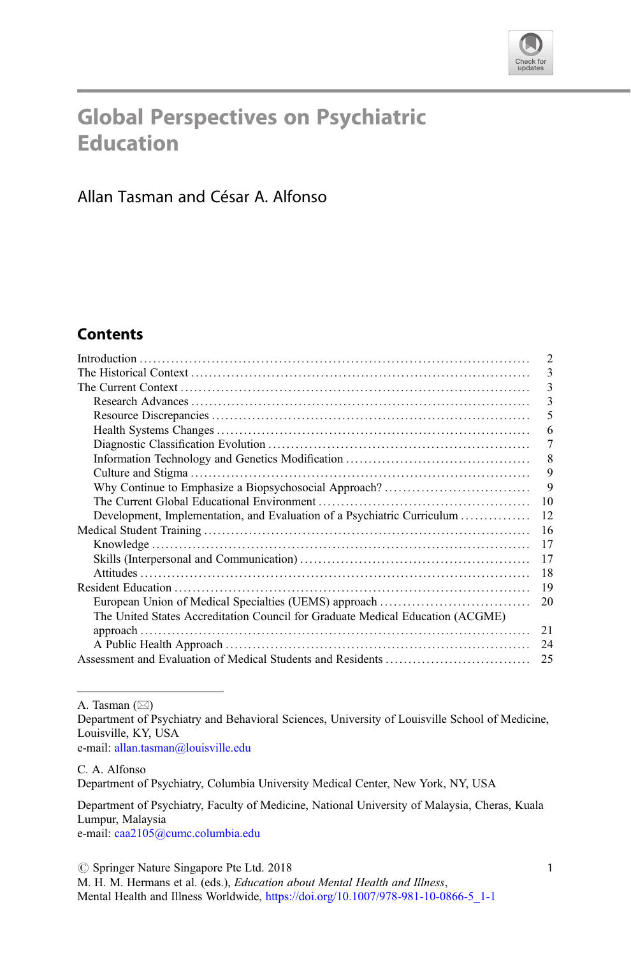

# Global Perspectives on Psychiatric Education

## Allan Tasman and César A. Alfonso

## **Contents**

|                                                                                | $\overline{2}$ |
|--------------------------------------------------------------------------------|----------------|
|                                                                                | 3              |
|                                                                                | 3              |
|                                                                                | 3              |
|                                                                                | 5              |
|                                                                                | 6              |
|                                                                                | 7              |
|                                                                                | 8              |
|                                                                                | 9              |
|                                                                                | 9              |
|                                                                                | 10             |
| Development, Implementation, and Evaluation of a Psychiatric Curriculum        | 12             |
|                                                                                | 16             |
|                                                                                | 17             |
|                                                                                | 17             |
|                                                                                | 18             |
|                                                                                | 19             |
|                                                                                | 20             |
| The United States Accreditation Council for Graduate Medical Education (ACGME) | 21             |
|                                                                                | 24             |
|                                                                                | 25             |

A. Tasman  $(\boxtimes)$ 

C. A. Alfonso

Department of Psychiatry, Columbia University Medical Center, New York, NY, USA

Department of Psychiatry, Faculty of Medicine, National University of Malaysia, Cheras, Kuala Lumpur, Malaysia e-mail: [caa2105@cumc.columbia.edu](mailto:caa2105@cumc.columbia.edu)

Department of Psychiatry and Behavioral Sciences, University of Louisville School of Medicine, Louisville, KY, USA e-mail: [allan.tasman@louisville.edu](mailto:allan.tasman@louisville.edu)

 $\oslash$  Springer Nature Singapore Pte Ltd. 2018

M. H. M. Hermans et al. (eds.), Education about Mental Health and Illness, Mental Health and Illness Worldwide, [https://doi.org/10.1007/978-981-10-0866-5\\_1-1](https://doi.org/10.1007/978-981-10-0866-5_1-1)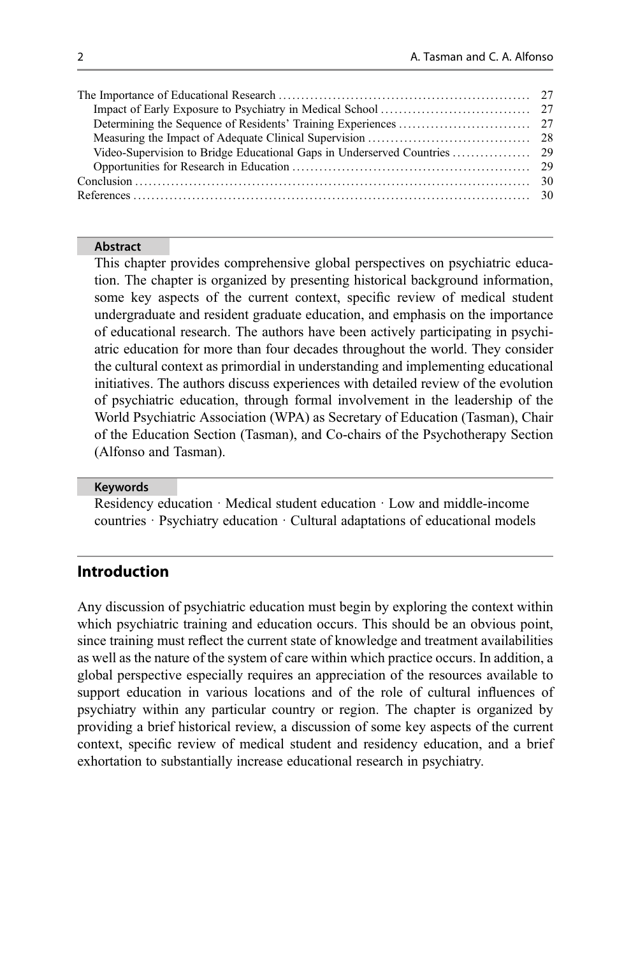#### Abstract

This chapter provides comprehensive global perspectives on psychiatric education. The chapter is organized by presenting historical background information, some key aspects of the current context, specific review of medical student undergraduate and resident graduate education, and emphasis on the importance of educational research. The authors have been actively participating in psychiatric education for more than four decades throughout the world. They consider the cultural context as primordial in understanding and implementing educational initiatives. The authors discuss experiences with detailed review of the evolution of psychiatric education, through formal involvement in the leadership of the World Psychiatric Association (WPA) as Secretary of Education (Tasman), Chair of the Education Section (Tasman), and Co-chairs of the Psychotherapy Section (Alfonso and Tasman).

#### Keywords

Residency education · Medical student education · Low and middle-income countries · Psychiatry education · Cultural adaptations of educational models

## Introduction

Any discussion of psychiatric education must begin by exploring the context within which psychiatric training and education occurs. This should be an obvious point, since training must reflect the current state of knowledge and treatment availabilities as well as the nature of the system of care within which practice occurs. In addition, a global perspective especially requires an appreciation of the resources available to support education in various locations and of the role of cultural influences of psychiatry within any particular country or region. The chapter is organized by providing a brief historical review, a discussion of some key aspects of the current context, specific review of medical student and residency education, and a brief exhortation to substantially increase educational research in psychiatry.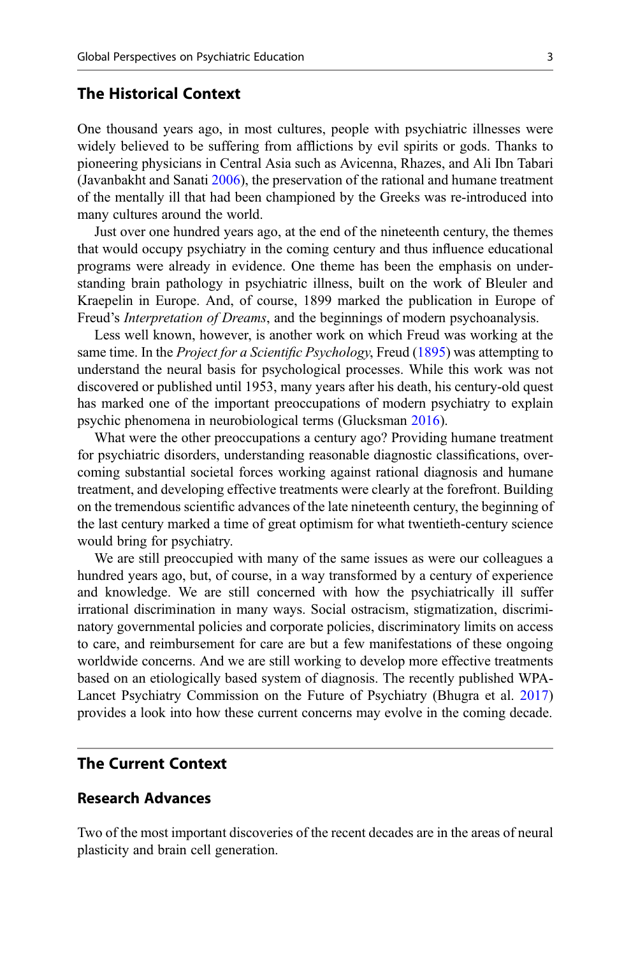## The Historical Context

One thousand years ago, in most cultures, people with psychiatric illnesses were widely believed to be suffering from afflictions by evil spirits or gods. Thanks to pioneering physicians in Central Asia such as Avicenna, Rhazes, and Ali Ibn Tabari (Javanbakht and Sanati [2006](#page-31-0)), the preservation of the rational and humane treatment of the mentally ill that had been championed by the Greeks was re-introduced into many cultures around the world.

Just over one hundred years ago, at the end of the nineteenth century, the themes that would occupy psychiatry in the coming century and thus influence educational programs were already in evidence. One theme has been the emphasis on understanding brain pathology in psychiatric illness, built on the work of Bleuler and Kraepelin in Europe. And, of course, 1899 marked the publication in Europe of Freud's *Interpretation of Dreams*, and the beginnings of modern psychoanalysis.

Less well known, however, is another work on which Freud was working at the same time. In the *Project for a Scientific Psychology*, Freud ([1895\)](#page-31-0) was attempting to understand the neural basis for psychological processes. While this work was not discovered or published until 1953, many years after his death, his century-old quest has marked one of the important preoccupations of modern psychiatry to explain psychic phenomena in neurobiological terms (Glucksman [2016\)](#page-31-0).

What were the other preoccupations a century ago? Providing humane treatment for psychiatric disorders, understanding reasonable diagnostic classifications, overcoming substantial societal forces working against rational diagnosis and humane treatment, and developing effective treatments were clearly at the forefront. Building on the tremendous scientific advances of the late nineteenth century, the beginning of the last century marked a time of great optimism for what twentieth-century science would bring for psychiatry.

We are still preoccupied with many of the same issues as were our colleagues a hundred years ago, but, of course, in a way transformed by a century of experience and knowledge. We are still concerned with how the psychiatrically ill suffer irrational discrimination in many ways. Social ostracism, stigmatization, discriminatory governmental policies and corporate policies, discriminatory limits on access to care, and reimbursement for care are but a few manifestations of these ongoing worldwide concerns. And we are still working to develop more effective treatments based on an etiologically based system of diagnosis. The recently published WPA-Lancet Psychiatry Commission on the Future of Psychiatry (Bhugra et al. [2017](#page-30-0)) provides a look into how these current concerns may evolve in the coming decade.

## The Current Context

## Research Advances

Two of the most important discoveries of the recent decades are in the areas of neural plasticity and brain cell generation.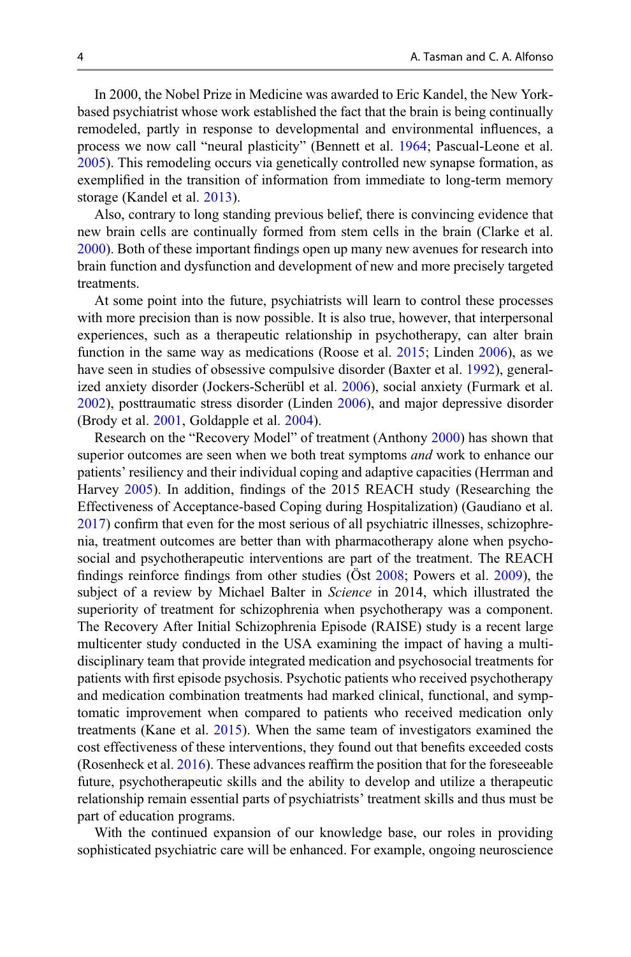In 2000, the Nobel Prize in Medicine was awarded to Eric Kandel, the New Yorkbased psychiatrist whose work established the fact that the brain is being continually remodeled, partly in response to developmental and environmental influences, a process we now call "neural plasticity" (Bennett et al. [1964;](#page-30-0) Pascual-Leone et al. [2005\)](#page-32-0). This remodeling occurs via genetically controlled new synapse formation, as exemplified in the transition of information from immediate to long-term memory storage (Kandel et al. [2013\)](#page-31-0).

Also, contrary to long standing previous belief, there is convincing evidence that new brain cells are continually formed from stem cells in the brain (Clarke et al. [2000\)](#page-30-0). Both of these important findings open up many new avenues for research into brain function and dysfunction and development of new and more precisely targeted treatments.

At some point into the future, psychiatrists will learn to control these processes with more precision than is now possible. It is also true, however, that interpersonal experiences, such as a therapeutic relationship in psychotherapy, can alter brain function in the same way as medications (Roose et al. [2015](#page-32-0); Linden [2006\)](#page-31-0), as we have seen in studies of obsessive compulsive disorder (Baxter et al. [1992\)](#page-30-0), generalized anxiety disorder (Jockers-Scherübl et al. [2006](#page-31-0)), social anxiety (Furmark et al. [2002\)](#page-31-0), posttraumatic stress disorder (Linden [2006](#page-31-0)), and major depressive disorder (Brody et al. [2001,](#page-30-0) Goldapple et al. [2004](#page-31-0)).

Research on the "Recovery Model" of treatment (Anthony [2000\)](#page-29-0) has shown that superior outcomes are seen when we both treat symptoms *and* work to enhance our patients' resiliency and their individual coping and adaptive capacities (Herrman and Harvey [2005\)](#page-31-0). In addition, findings of the 2015 REACH study (Researching the Effectiveness of Acceptance-based Coping during Hospitalization) (Gaudiano et al. [2017\)](#page-31-0) confirm that even for the most serious of all psychiatric illnesses, schizophrenia, treatment outcomes are better than with pharmacotherapy alone when psychosocial and psychotherapeutic interventions are part of the treatment. The REACH findings reinforce findings from other studies (Öst [2008;](#page-31-0) Powers et al. [2009](#page-32-0)), the subject of a review by Michael Balter in Science in 2014, which illustrated the superiority of treatment for schizophrenia when psychotherapy was a component. The Recovery After Initial Schizophrenia Episode (RAISE) study is a recent large multicenter study conducted in the USA examining the impact of having a multidisciplinary team that provide integrated medication and psychosocial treatments for patients with first episode psychosis. Psychotic patients who received psychotherapy and medication combination treatments had marked clinical, functional, and symptomatic improvement when compared to patients who received medication only treatments (Kane et al. [2015\)](#page-31-0). When the same team of investigators examined the cost effectiveness of these interventions, they found out that benefits exceeded costs (Rosenheck et al. [2016](#page-32-0)). These advances reaffirm the position that for the foreseeable future, psychotherapeutic skills and the ability to develop and utilize a therapeutic relationship remain essential parts of psychiatrists' treatment skills and thus must be part of education programs.

With the continued expansion of our knowledge base, our roles in providing sophisticated psychiatric care will be enhanced. For example, ongoing neuroscience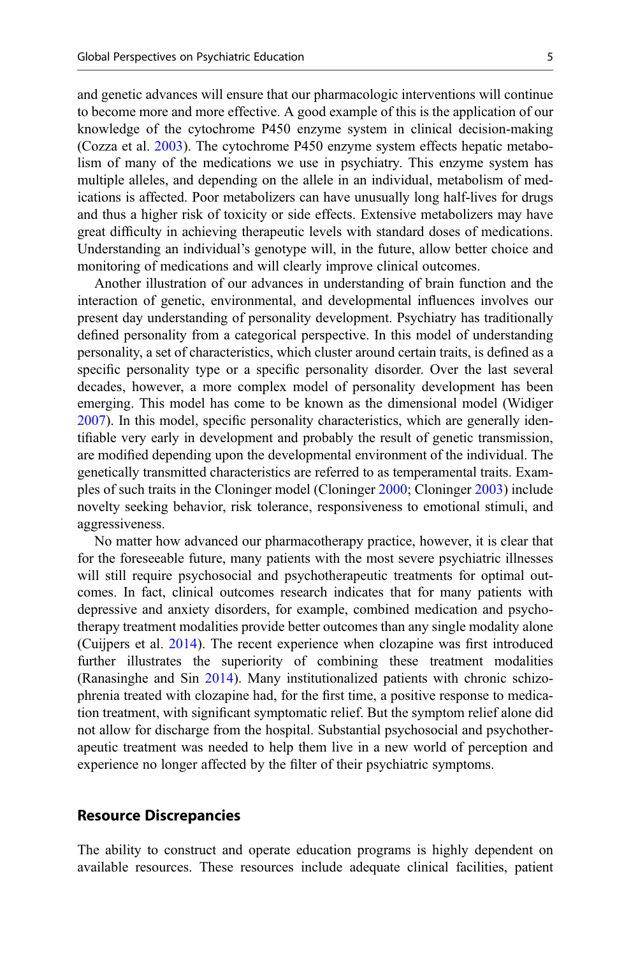and genetic advances will ensure that our pharmacologic interventions will continue to become more and more effective. A good example of this is the application of our knowledge of the cytochrome P450 enzyme system in clinical decision-making (Cozza et al. [2003\)](#page-30-0). The cytochrome P450 enzyme system effects hepatic metabolism of many of the medications we use in psychiatry. This enzyme system has multiple alleles, and depending on the allele in an individual, metabolism of medications is affected. Poor metabolizers can have unusually long half-lives for drugs and thus a higher risk of toxicity or side effects. Extensive metabolizers may have great difficulty in achieving therapeutic levels with standard doses of medications. Understanding an individual's genotype will, in the future, allow better choice and monitoring of medications and will clearly improve clinical outcomes.

Another illustration of our advances in understanding of brain function and the interaction of genetic, environmental, and developmental influences involves our present day understanding of personality development. Psychiatry has traditionally defined personality from a categorical perspective. In this model of understanding personality, a set of characteristics, which cluster around certain traits, is defined as a specific personality type or a specific personality disorder. Over the last several decades, however, a more complex model of personality development has been emerging. This model has come to be known as the dimensional model (Widiger [2007\)](#page-32-0). In this model, specific personality characteristics, which are generally identifiable very early in development and probably the result of genetic transmission, are modified depending upon the developmental environment of the individual. The genetically transmitted characteristics are referred to as temperamental traits. Examples of such traits in the Cloninger model (Cloninger [2000;](#page-30-0) Cloninger [2003\)](#page-30-0) include novelty seeking behavior, risk tolerance, responsiveness to emotional stimuli, and aggressiveness.

No matter how advanced our pharmacotherapy practice, however, it is clear that for the foreseeable future, many patients with the most severe psychiatric illnesses will still require psychosocial and psychotherapeutic treatments for optimal outcomes. In fact, clinical outcomes research indicates that for many patients with depressive and anxiety disorders, for example, combined medication and psychotherapy treatment modalities provide better outcomes than any single modality alone (Cuijpers et al. [2014\)](#page-30-0). The recent experience when clozapine was first introduced further illustrates the superiority of combining these treatment modalities (Ranasinghe and Sin [2014\)](#page-32-0). Many institutionalized patients with chronic schizophrenia treated with clozapine had, for the first time, a positive response to medication treatment, with significant symptomatic relief. But the symptom relief alone did not allow for discharge from the hospital. Substantial psychosocial and psychotherapeutic treatment was needed to help them live in a new world of perception and experience no longer affected by the filter of their psychiatric symptoms.

#### Resource Discrepancies

The ability to construct and operate education programs is highly dependent on available resources. These resources include adequate clinical facilities, patient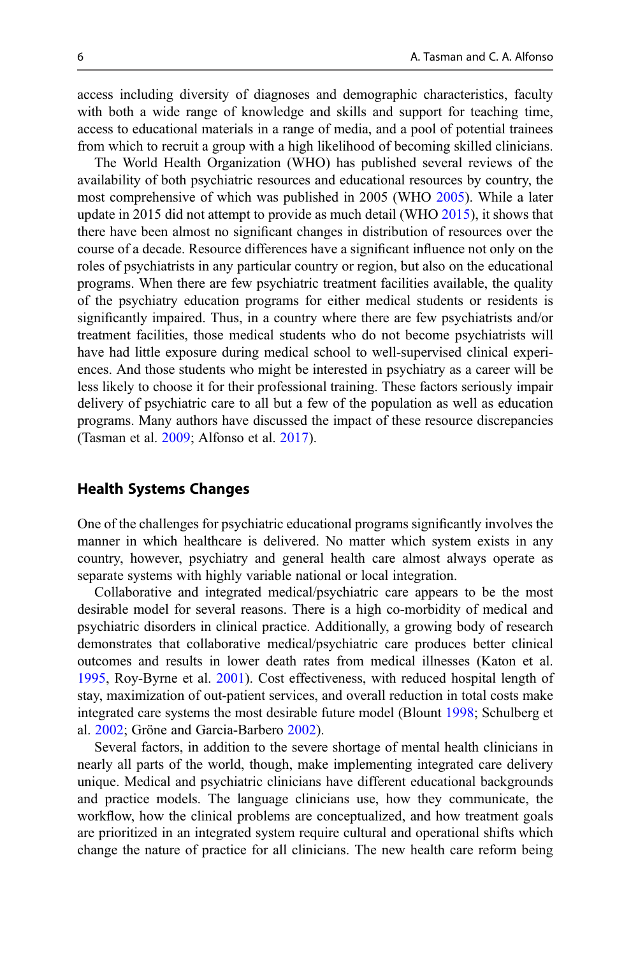access including diversity of diagnoses and demographic characteristics, faculty with both a wide range of knowledge and skills and support for teaching time, access to educational materials in a range of media, and a pool of potential trainees from which to recruit a group with a high likelihood of becoming skilled clinicians.

The World Health Organization (WHO) has published several reviews of the availability of both psychiatric resources and educational resources by country, the most comprehensive of which was published in 2005 (WHO [2005\)](#page-32-0). While a later update in 2015 did not attempt to provide as much detail (WHO [2015\)](#page-32-0), it shows that there have been almost no significant changes in distribution of resources over the course of a decade. Resource differences have a significant influence not only on the roles of psychiatrists in any particular country or region, but also on the educational programs. When there are few psychiatric treatment facilities available, the quality of the psychiatry education programs for either medical students or residents is significantly impaired. Thus, in a country where there are few psychiatrists and/or treatment facilities, those medical students who do not become psychiatrists will have had little exposure during medical school to well-supervised clinical experiences. And those students who might be interested in psychiatry as a career will be less likely to choose it for their professional training. These factors seriously impair delivery of psychiatric care to all but a few of the population as well as education programs. Many authors have discussed the impact of these resource discrepancies (Tasman et al. [2009;](#page-32-0) Alfonso et al. [2017](#page-29-0)).

#### Health Systems Changes

One of the challenges for psychiatric educational programs significantly involves the manner in which healthcare is delivered. No matter which system exists in any country, however, psychiatry and general health care almost always operate as separate systems with highly variable national or local integration.

Collaborative and integrated medical/psychiatric care appears to be the most desirable model for several reasons. There is a high co-morbidity of medical and psychiatric disorders in clinical practice. Additionally, a growing body of research demonstrates that collaborative medical/psychiatric care produces better clinical outcomes and results in lower death rates from medical illnesses (Katon et al. [1995,](#page-31-0) Roy-Byrne et al. [2001\)](#page-32-0). Cost effectiveness, with reduced hospital length of stay, maximization of out-patient services, and overall reduction in total costs make integrated care systems the most desirable future model (Blount [1998](#page-30-0); Schulberg et al. [2002](#page-32-0); Gröne and Garcia-Barbero [2002](#page-31-0)).

Several factors, in addition to the severe shortage of mental health clinicians in nearly all parts of the world, though, make implementing integrated care delivery unique. Medical and psychiatric clinicians have different educational backgrounds and practice models. The language clinicians use, how they communicate, the workflow, how the clinical problems are conceptualized, and how treatment goals are prioritized in an integrated system require cultural and operational shifts which change the nature of practice for all clinicians. The new health care reform being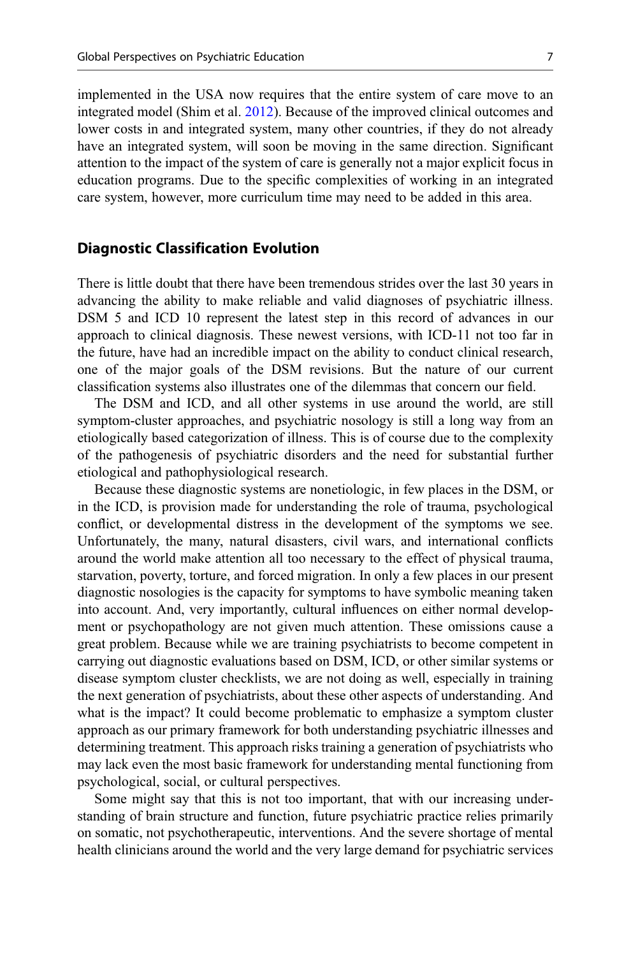implemented in the USA now requires that the entire system of care move to an integrated model (Shim et al. [2012\)](#page-32-0). Because of the improved clinical outcomes and lower costs in and integrated system, many other countries, if they do not already have an integrated system, will soon be moving in the same direction. Significant attention to the impact of the system of care is generally not a major explicit focus in education programs. Due to the specific complexities of working in an integrated care system, however, more curriculum time may need to be added in this area.

#### Diagnostic Classification Evolution

There is little doubt that there have been tremendous strides over the last 30 years in advancing the ability to make reliable and valid diagnoses of psychiatric illness. DSM 5 and ICD 10 represent the latest step in this record of advances in our approach to clinical diagnosis. These newest versions, with ICD-11 not too far in the future, have had an incredible impact on the ability to conduct clinical research, one of the major goals of the DSM revisions. But the nature of our current classification systems also illustrates one of the dilemmas that concern our field.

The DSM and ICD, and all other systems in use around the world, are still symptom-cluster approaches, and psychiatric nosology is still a long way from an etiologically based categorization of illness. This is of course due to the complexity of the pathogenesis of psychiatric disorders and the need for substantial further etiological and pathophysiological research.

Because these diagnostic systems are nonetiologic, in few places in the DSM, or in the ICD, is provision made for understanding the role of trauma, psychological conflict, or developmental distress in the development of the symptoms we see. Unfortunately, the many, natural disasters, civil wars, and international conflicts around the world make attention all too necessary to the effect of physical trauma, starvation, poverty, torture, and forced migration. In only a few places in our present diagnostic nosologies is the capacity for symptoms to have symbolic meaning taken into account. And, very importantly, cultural influences on either normal development or psychopathology are not given much attention. These omissions cause a great problem. Because while we are training psychiatrists to become competent in carrying out diagnostic evaluations based on DSM, ICD, or other similar systems or disease symptom cluster checklists, we are not doing as well, especially in training the next generation of psychiatrists, about these other aspects of understanding. And what is the impact? It could become problematic to emphasize a symptom cluster approach as our primary framework for both understanding psychiatric illnesses and determining treatment. This approach risks training a generation of psychiatrists who may lack even the most basic framework for understanding mental functioning from psychological, social, or cultural perspectives.

Some might say that this is not too important, that with our increasing understanding of brain structure and function, future psychiatric practice relies primarily on somatic, not psychotherapeutic, interventions. And the severe shortage of mental health clinicians around the world and the very large demand for psychiatric services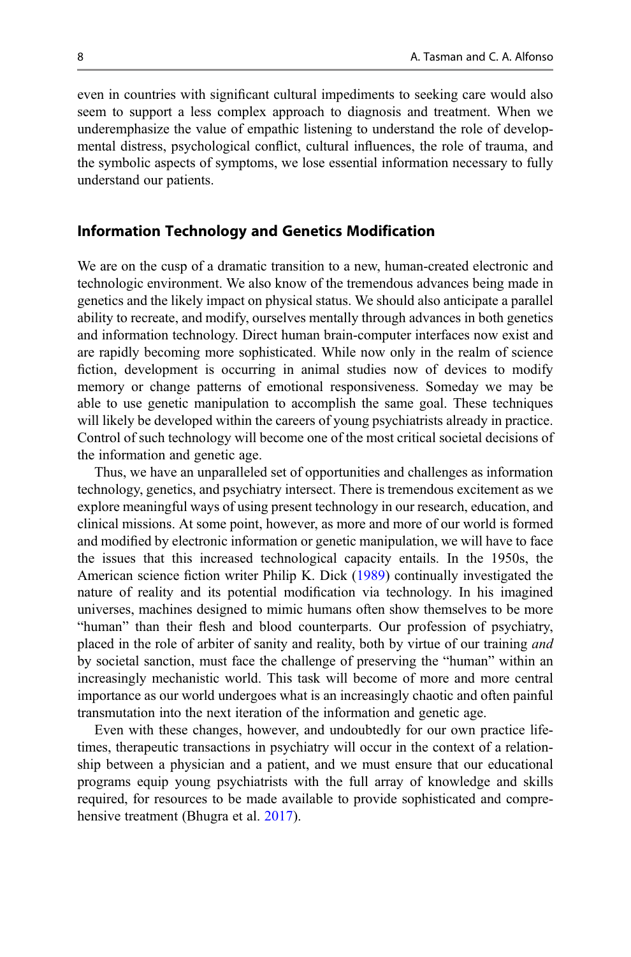even in countries with significant cultural impediments to seeking care would also seem to support a less complex approach to diagnosis and treatment. When we underemphasize the value of empathic listening to understand the role of developmental distress, psychological conflict, cultural influences, the role of trauma, and the symbolic aspects of symptoms, we lose essential information necessary to fully understand our patients.

#### Information Technology and Genetics Modification

We are on the cusp of a dramatic transition to a new, human-created electronic and technologic environment. We also know of the tremendous advances being made in genetics and the likely impact on physical status. We should also anticipate a parallel ability to recreate, and modify, ourselves mentally through advances in both genetics and information technology. Direct human brain-computer interfaces now exist and are rapidly becoming more sophisticated. While now only in the realm of science fiction, development is occurring in animal studies now of devices to modify memory or change patterns of emotional responsiveness. Someday we may be able to use genetic manipulation to accomplish the same goal. These techniques will likely be developed within the careers of young psychiatrists already in practice. Control of such technology will become one of the most critical societal decisions of the information and genetic age.

Thus, we have an unparalleled set of opportunities and challenges as information technology, genetics, and psychiatry intersect. There is tremendous excitement as we explore meaningful ways of using present technology in our research, education, and clinical missions. At some point, however, as more and more of our world is formed and modified by electronic information or genetic manipulation, we will have to face the issues that this increased technological capacity entails. In the 1950s, the American science fiction writer Philip K. Dick [\(1989](#page-30-0)) continually investigated the nature of reality and its potential modification via technology. In his imagined universes, machines designed to mimic humans often show themselves to be more "human" than their flesh and blood counterparts. Our profession of psychiatry, placed in the role of arbiter of sanity and reality, both by virtue of our training and by societal sanction, must face the challenge of preserving the "human" within an increasingly mechanistic world. This task will become of more and more central importance as our world undergoes what is an increasingly chaotic and often painful transmutation into the next iteration of the information and genetic age.

Even with these changes, however, and undoubtedly for our own practice lifetimes, therapeutic transactions in psychiatry will occur in the context of a relationship between a physician and a patient, and we must ensure that our educational programs equip young psychiatrists with the full array of knowledge and skills required, for resources to be made available to provide sophisticated and comprehensive treatment (Bhugra et al. [2017](#page-30-0)).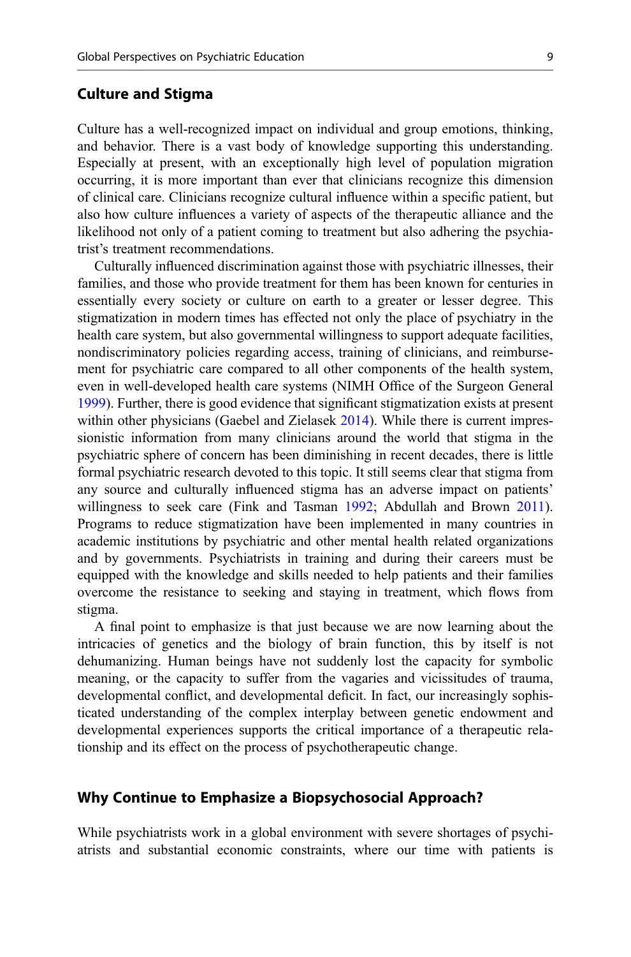#### Culture and Stigma

Culture has a well-recognized impact on individual and group emotions, thinking, and behavior. There is a vast body of knowledge supporting this understanding. Especially at present, with an exceptionally high level of population migration occurring, it is more important than ever that clinicians recognize this dimension of clinical care. Clinicians recognize cultural influence within a specific patient, but also how culture influences a variety of aspects of the therapeutic alliance and the likelihood not only of a patient coming to treatment but also adhering the psychiatrist's treatment recommendations.

Culturally influenced discrimination against those with psychiatric illnesses, their families, and those who provide treatment for them has been known for centuries in essentially every society or culture on earth to a greater or lesser degree. This stigmatization in modern times has effected not only the place of psychiatry in the health care system, but also governmental willingness to support adequate facilities, nondiscriminatory policies regarding access, training of clinicians, and reimbursement for psychiatric care compared to all other components of the health system, even in well-developed health care systems (NIMH Office of the Surgeon General [1999\)](#page-31-0). Further, there is good evidence that significant stigmatization exists at present within other physicians (Gaebel and Zielasek [2014](#page-31-0)). While there is current impressionistic information from many clinicians around the world that stigma in the psychiatric sphere of concern has been diminishing in recent decades, there is little formal psychiatric research devoted to this topic. It still seems clear that stigma from any source and culturally influenced stigma has an adverse impact on patients' willingness to seek care (Fink and Tasman [1992](#page-31-0); Abdullah and Brown [2011\)](#page-29-0). Programs to reduce stigmatization have been implemented in many countries in academic institutions by psychiatric and other mental health related organizations and by governments. Psychiatrists in training and during their careers must be equipped with the knowledge and skills needed to help patients and their families overcome the resistance to seeking and staying in treatment, which flows from stigma.

A final point to emphasize is that just because we are now learning about the intricacies of genetics and the biology of brain function, this by itself is not dehumanizing. Human beings have not suddenly lost the capacity for symbolic meaning, or the capacity to suffer from the vagaries and vicissitudes of trauma, developmental conflict, and developmental deficit. In fact, our increasingly sophisticated understanding of the complex interplay between genetic endowment and developmental experiences supports the critical importance of a therapeutic relationship and its effect on the process of psychotherapeutic change.

#### Why Continue to Emphasize a Biopsychosocial Approach?

While psychiatrists work in a global environment with severe shortages of psychiatrists and substantial economic constraints, where our time with patients is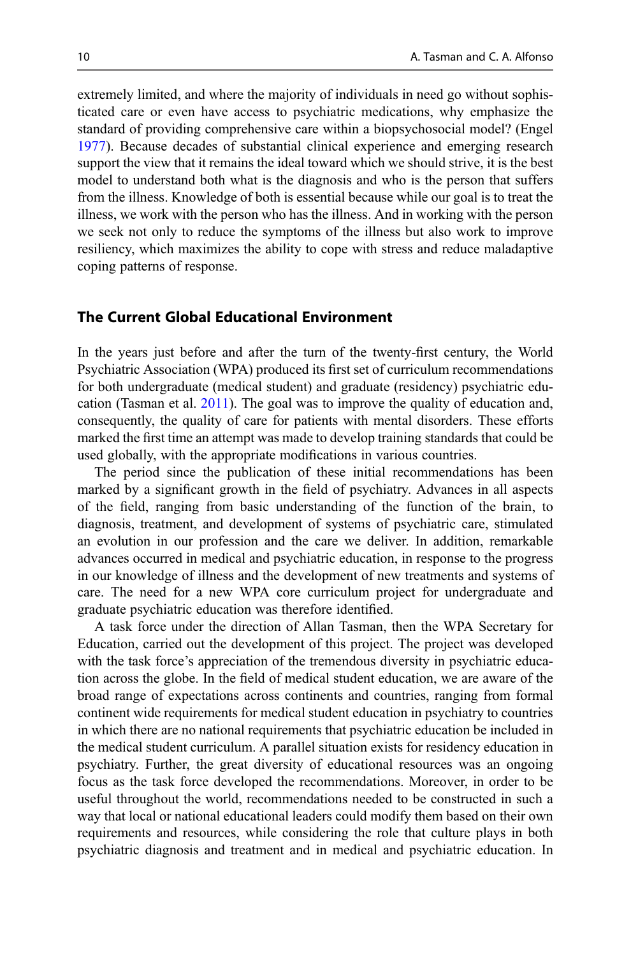extremely limited, and where the majority of individuals in need go without sophisticated care or even have access to psychiatric medications, why emphasize the standard of providing comprehensive care within a biopsychosocial model? (Engel [1977\)](#page-30-0). Because decades of substantial clinical experience and emerging research support the view that it remains the ideal toward which we should strive, it is the best model to understand both what is the diagnosis and who is the person that suffers from the illness. Knowledge of both is essential because while our goal is to treat the illness, we work with the person who has the illness. And in working with the person we seek not only to reduce the symptoms of the illness but also work to improve resiliency, which maximizes the ability to cope with stress and reduce maladaptive coping patterns of response.

## The Current Global Educational Environment

In the years just before and after the turn of the twenty-first century, the World Psychiatric Association (WPA) produced its first set of curriculum recommendations for both undergraduate (medical student) and graduate (residency) psychiatric education (Tasman et al. [2011\)](#page-32-0). The goal was to improve the quality of education and, consequently, the quality of care for patients with mental disorders. These efforts marked the first time an attempt was made to develop training standards that could be used globally, with the appropriate modifications in various countries.

The period since the publication of these initial recommendations has been marked by a significant growth in the field of psychiatry. Advances in all aspects of the field, ranging from basic understanding of the function of the brain, to diagnosis, treatment, and development of systems of psychiatric care, stimulated an evolution in our profession and the care we deliver. In addition, remarkable advances occurred in medical and psychiatric education, in response to the progress in our knowledge of illness and the development of new treatments and systems of care. The need for a new WPA core curriculum project for undergraduate and graduate psychiatric education was therefore identified.

A task force under the direction of Allan Tasman, then the WPA Secretary for Education, carried out the development of this project. The project was developed with the task force's appreciation of the tremendous diversity in psychiatric education across the globe. In the field of medical student education, we are aware of the broad range of expectations across continents and countries, ranging from formal continent wide requirements for medical student education in psychiatry to countries in which there are no national requirements that psychiatric education be included in the medical student curriculum. A parallel situation exists for residency education in psychiatry. Further, the great diversity of educational resources was an ongoing focus as the task force developed the recommendations. Moreover, in order to be useful throughout the world, recommendations needed to be constructed in such a way that local or national educational leaders could modify them based on their own requirements and resources, while considering the role that culture plays in both psychiatric diagnosis and treatment and in medical and psychiatric education. In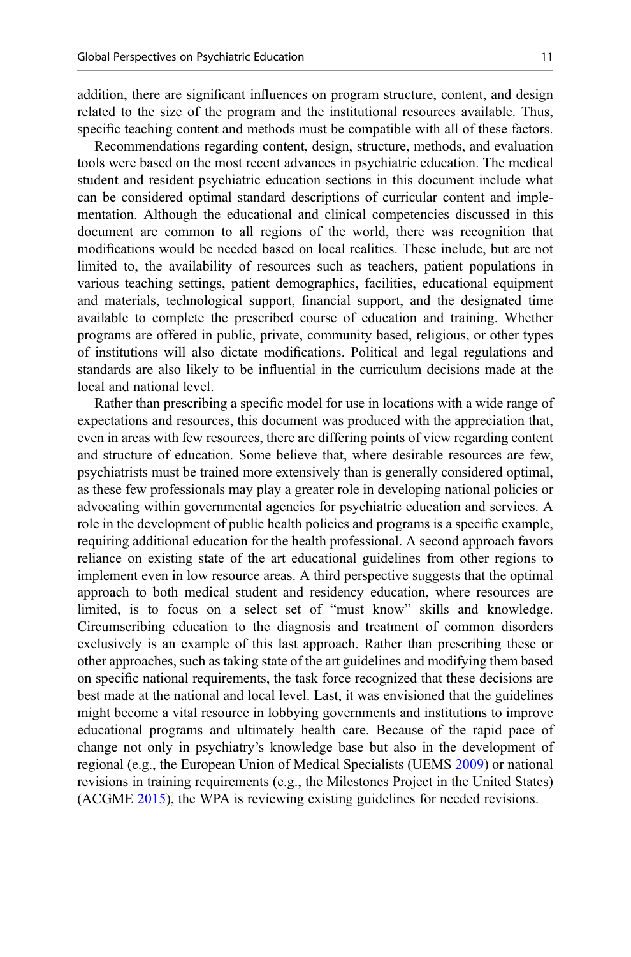addition, there are significant influences on program structure, content, and design related to the size of the program and the institutional resources available. Thus, specific teaching content and methods must be compatible with all of these factors.

Recommendations regarding content, design, structure, methods, and evaluation tools were based on the most recent advances in psychiatric education. The medical student and resident psychiatric education sections in this document include what can be considered optimal standard descriptions of curricular content and implementation. Although the educational and clinical competencies discussed in this document are common to all regions of the world, there was recognition that modifications would be needed based on local realities. These include, but are not limited to, the availability of resources such as teachers, patient populations in various teaching settings, patient demographics, facilities, educational equipment and materials, technological support, financial support, and the designated time available to complete the prescribed course of education and training. Whether programs are offered in public, private, community based, religious, or other types of institutions will also dictate modifications. Political and legal regulations and standards are also likely to be influential in the curriculum decisions made at the local and national level.

Rather than prescribing a specific model for use in locations with a wide range of expectations and resources, this document was produced with the appreciation that, even in areas with few resources, there are differing points of view regarding content and structure of education. Some believe that, where desirable resources are few, psychiatrists must be trained more extensively than is generally considered optimal, as these few professionals may play a greater role in developing national policies or advocating within governmental agencies for psychiatric education and services. A role in the development of public health policies and programs is a specific example, requiring additional education for the health professional. A second approach favors reliance on existing state of the art educational guidelines from other regions to implement even in low resource areas. A third perspective suggests that the optimal approach to both medical student and residency education, where resources are limited, is to focus on a select set of "must know" skills and knowledge. Circumscribing education to the diagnosis and treatment of common disorders exclusively is an example of this last approach. Rather than prescribing these or other approaches, such as taking state of the art guidelines and modifying them based on specific national requirements, the task force recognized that these decisions are best made at the national and local level. Last, it was envisioned that the guidelines might become a vital resource in lobbying governments and institutions to improve educational programs and ultimately health care. Because of the rapid pace of change not only in psychiatry's knowledge base but also in the development of regional (e.g., the European Union of Medical Specialists (UEMS [2009](#page-30-0)) or national revisions in training requirements (e.g., the Milestones Project in the United States) (ACGME [2015\)](#page-29-0), the WPA is reviewing existing guidelines for needed revisions.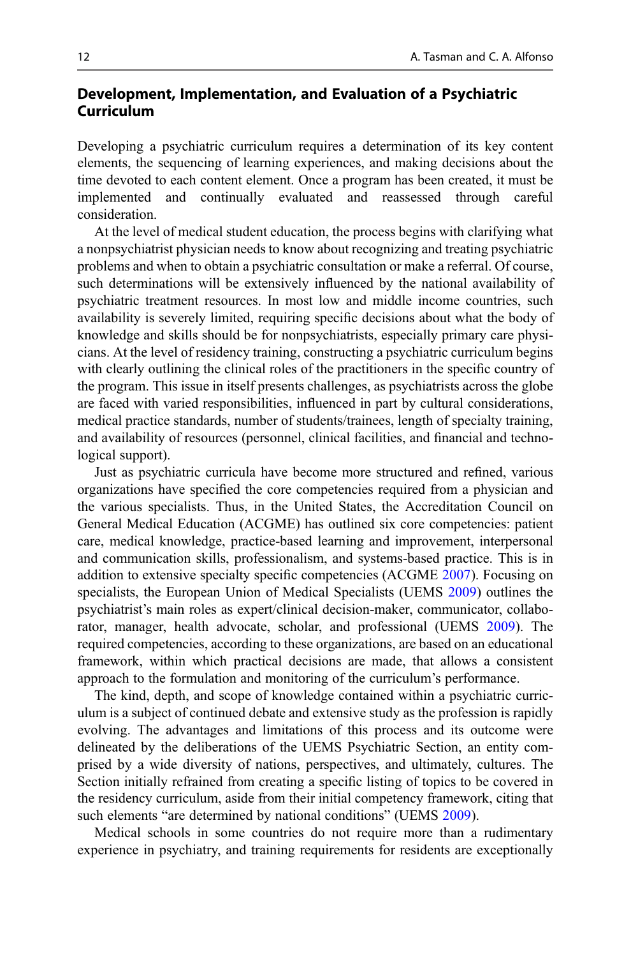## Development, Implementation, and Evaluation of a Psychiatric Curriculum

Developing a psychiatric curriculum requires a determination of its key content elements, the sequencing of learning experiences, and making decisions about the time devoted to each content element. Once a program has been created, it must be implemented and continually evaluated and reassessed through careful consideration.

At the level of medical student education, the process begins with clarifying what a nonpsychiatrist physician needs to know about recognizing and treating psychiatric problems and when to obtain a psychiatric consultation or make a referral. Of course, such determinations will be extensively influenced by the national availability of psychiatric treatment resources. In most low and middle income countries, such availability is severely limited, requiring specific decisions about what the body of knowledge and skills should be for nonpsychiatrists, especially primary care physicians. At the level of residency training, constructing a psychiatric curriculum begins with clearly outlining the clinical roles of the practitioners in the specific country of the program. This issue in itself presents challenges, as psychiatrists across the globe are faced with varied responsibilities, influenced in part by cultural considerations, medical practice standards, number of students/trainees, length of specialty training, and availability of resources (personnel, clinical facilities, and financial and technological support).

Just as psychiatric curricula have become more structured and refined, various organizations have specified the core competencies required from a physician and the various specialists. Thus, in the United States, the Accreditation Council on General Medical Education (ACGME) has outlined six core competencies: patient care, medical knowledge, practice-based learning and improvement, interpersonal and communication skills, professionalism, and systems-based practice. This is in addition to extensive specialty specific competencies (ACGME [2007](#page-29-0)). Focusing on specialists, the European Union of Medical Specialists (UEMS [2009](#page-30-0)) outlines the psychiatrist's main roles as expert/clinical decision-maker, communicator, collaborator, manager, health advocate, scholar, and professional (UEMS [2009](#page-30-0)). The required competencies, according to these organizations, are based on an educational framework, within which practical decisions are made, that allows a consistent approach to the formulation and monitoring of the curriculum's performance.

The kind, depth, and scope of knowledge contained within a psychiatric curriculum is a subject of continued debate and extensive study as the profession is rapidly evolving. The advantages and limitations of this process and its outcome were delineated by the deliberations of the UEMS Psychiatric Section, an entity comprised by a wide diversity of nations, perspectives, and ultimately, cultures. The Section initially refrained from creating a specific listing of topics to be covered in the residency curriculum, aside from their initial competency framework, citing that such elements "are determined by national conditions" (UEMS [2009](#page-30-0)).

Medical schools in some countries do not require more than a rudimentary experience in psychiatry, and training requirements for residents are exceptionally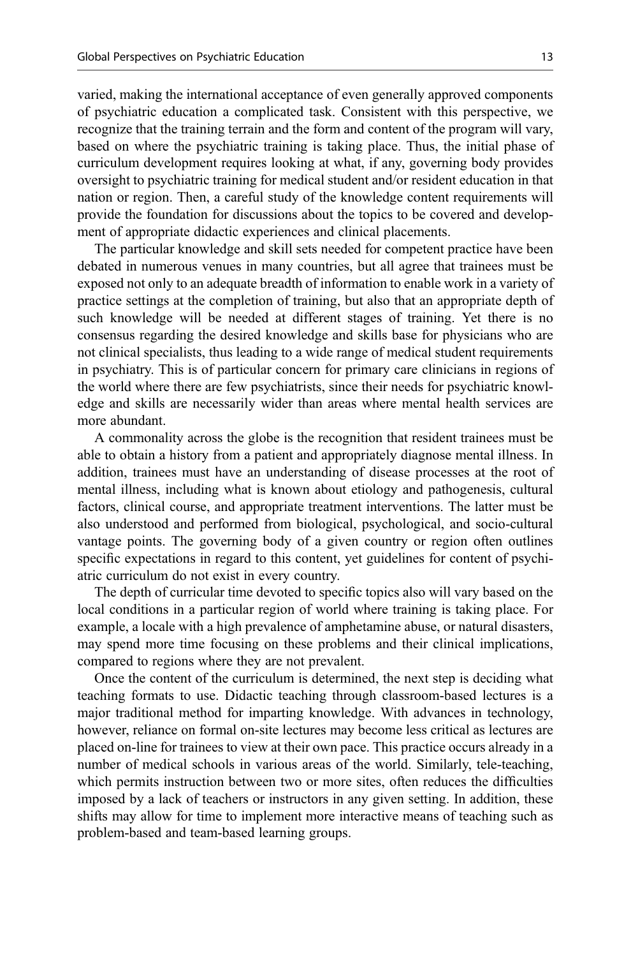varied, making the international acceptance of even generally approved components of psychiatric education a complicated task. Consistent with this perspective, we recognize that the training terrain and the form and content of the program will vary, based on where the psychiatric training is taking place. Thus, the initial phase of curriculum development requires looking at what, if any, governing body provides oversight to psychiatric training for medical student and/or resident education in that nation or region. Then, a careful study of the knowledge content requirements will provide the foundation for discussions about the topics to be covered and development of appropriate didactic experiences and clinical placements.

The particular knowledge and skill sets needed for competent practice have been debated in numerous venues in many countries, but all agree that trainees must be exposed not only to an adequate breadth of information to enable work in a variety of practice settings at the completion of training, but also that an appropriate depth of such knowledge will be needed at different stages of training. Yet there is no consensus regarding the desired knowledge and skills base for physicians who are not clinical specialists, thus leading to a wide range of medical student requirements in psychiatry. This is of particular concern for primary care clinicians in regions of the world where there are few psychiatrists, since their needs for psychiatric knowledge and skills are necessarily wider than areas where mental health services are more abundant.

A commonality across the globe is the recognition that resident trainees must be able to obtain a history from a patient and appropriately diagnose mental illness. In addition, trainees must have an understanding of disease processes at the root of mental illness, including what is known about etiology and pathogenesis, cultural factors, clinical course, and appropriate treatment interventions. The latter must be also understood and performed from biological, psychological, and socio-cultural vantage points. The governing body of a given country or region often outlines specific expectations in regard to this content, yet guidelines for content of psychiatric curriculum do not exist in every country.

The depth of curricular time devoted to specific topics also will vary based on the local conditions in a particular region of world where training is taking place. For example, a locale with a high prevalence of amphetamine abuse, or natural disasters, may spend more time focusing on these problems and their clinical implications, compared to regions where they are not prevalent.

Once the content of the curriculum is determined, the next step is deciding what teaching formats to use. Didactic teaching through classroom-based lectures is a major traditional method for imparting knowledge. With advances in technology, however, reliance on formal on-site lectures may become less critical as lectures are placed on-line for trainees to view at their own pace. This practice occurs already in a number of medical schools in various areas of the world. Similarly, tele-teaching, which permits instruction between two or more sites, often reduces the difficulties imposed by a lack of teachers or instructors in any given setting. In addition, these shifts may allow for time to implement more interactive means of teaching such as problem-based and team-based learning groups.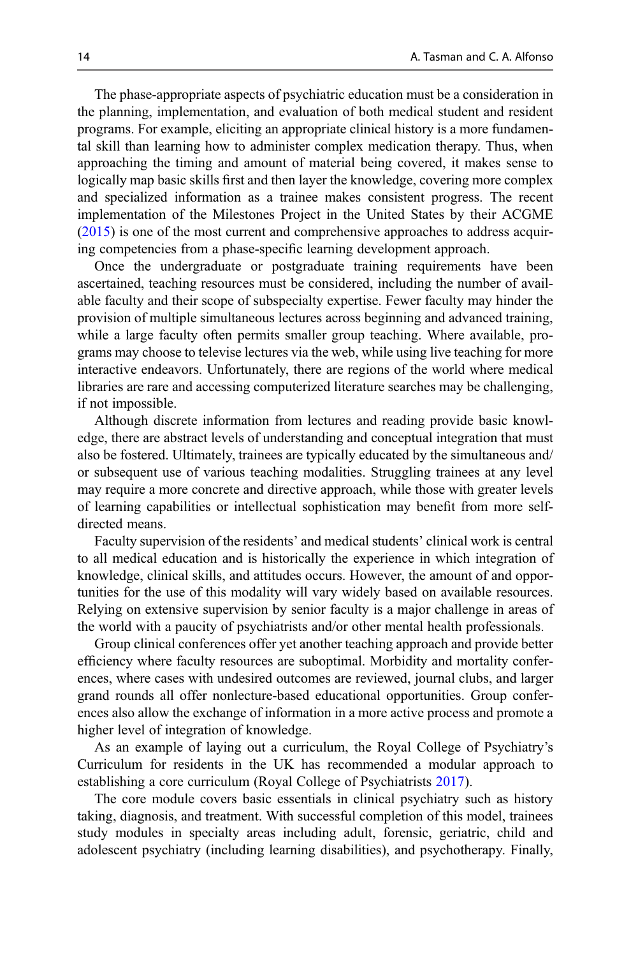The phase-appropriate aspects of psychiatric education must be a consideration in the planning, implementation, and evaluation of both medical student and resident programs. For example, eliciting an appropriate clinical history is a more fundamental skill than learning how to administer complex medication therapy. Thus, when approaching the timing and amount of material being covered, it makes sense to logically map basic skills first and then layer the knowledge, covering more complex and specialized information as a trainee makes consistent progress. The recent implementation of the Milestones Project in the United States by their ACGME [\(2015](#page-29-0)) is one of the most current and comprehensive approaches to address acquiring competencies from a phase-specific learning development approach.

Once the undergraduate or postgraduate training requirements have been ascertained, teaching resources must be considered, including the number of available faculty and their scope of subspecialty expertise. Fewer faculty may hinder the provision of multiple simultaneous lectures across beginning and advanced training, while a large faculty often permits smaller group teaching. Where available, programs may choose to televise lectures via the web, while using live teaching for more interactive endeavors. Unfortunately, there are regions of the world where medical libraries are rare and accessing computerized literature searches may be challenging, if not impossible.

Although discrete information from lectures and reading provide basic knowledge, there are abstract levels of understanding and conceptual integration that must also be fostered. Ultimately, trainees are typically educated by the simultaneous and/ or subsequent use of various teaching modalities. Struggling trainees at any level may require a more concrete and directive approach, while those with greater levels of learning capabilities or intellectual sophistication may benefit from more selfdirected means.

Faculty supervision of the residents' and medical students' clinical work is central to all medical education and is historically the experience in which integration of knowledge, clinical skills, and attitudes occurs. However, the amount of and opportunities for the use of this modality will vary widely based on available resources. Relying on extensive supervision by senior faculty is a major challenge in areas of the world with a paucity of psychiatrists and/or other mental health professionals.

Group clinical conferences offer yet another teaching approach and provide better efficiency where faculty resources are suboptimal. Morbidity and mortality conferences, where cases with undesired outcomes are reviewed, journal clubs, and larger grand rounds all offer nonlecture-based educational opportunities. Group conferences also allow the exchange of information in a more active process and promote a higher level of integration of knowledge.

As an example of laying out a curriculum, the Royal College of Psychiatry's Curriculum for residents in the UK has recommended a modular approach to establishing a core curriculum (Royal College of Psychiatrists [2017\)](#page-32-0).

The core module covers basic essentials in clinical psychiatry such as history taking, diagnosis, and treatment. With successful completion of this model, trainees study modules in specialty areas including adult, forensic, geriatric, child and adolescent psychiatry (including learning disabilities), and psychotherapy. Finally,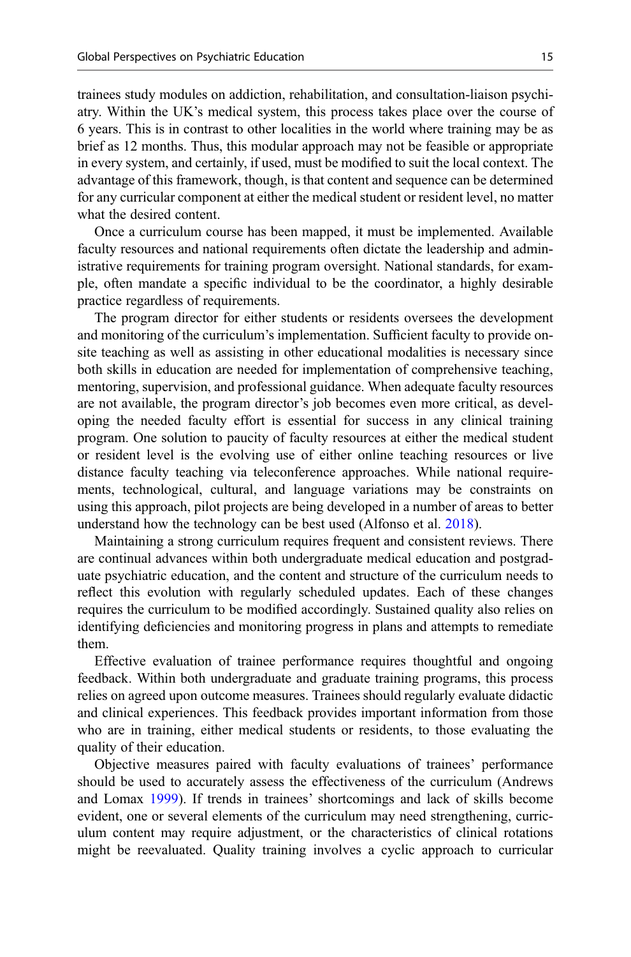trainees study modules on addiction, rehabilitation, and consultation-liaison psychiatry. Within the UK's medical system, this process takes place over the course of 6 years. This is in contrast to other localities in the world where training may be as brief as 12 months. Thus, this modular approach may not be feasible or appropriate in every system, and certainly, if used, must be modified to suit the local context. The advantage of this framework, though, is that content and sequence can be determined for any curricular component at either the medical student or resident level, no matter what the desired content.

Once a curriculum course has been mapped, it must be implemented. Available faculty resources and national requirements often dictate the leadership and administrative requirements for training program oversight. National standards, for example, often mandate a specific individual to be the coordinator, a highly desirable practice regardless of requirements.

The program director for either students or residents oversees the development and monitoring of the curriculum's implementation. Sufficient faculty to provide onsite teaching as well as assisting in other educational modalities is necessary since both skills in education are needed for implementation of comprehensive teaching, mentoring, supervision, and professional guidance. When adequate faculty resources are not available, the program director's job becomes even more critical, as developing the needed faculty effort is essential for success in any clinical training program. One solution to paucity of faculty resources at either the medical student or resident level is the evolving use of either online teaching resources or live distance faculty teaching via teleconference approaches. While national requirements, technological, cultural, and language variations may be constraints on using this approach, pilot projects are being developed in a number of areas to better understand how the technology can be best used (Alfonso et al. [2018](#page-29-0)).

Maintaining a strong curriculum requires frequent and consistent reviews. There are continual advances within both undergraduate medical education and postgraduate psychiatric education, and the content and structure of the curriculum needs to reflect this evolution with regularly scheduled updates. Each of these changes requires the curriculum to be modified accordingly. Sustained quality also relies on identifying deficiencies and monitoring progress in plans and attempts to remediate them.

Effective evaluation of trainee performance requires thoughtful and ongoing feedback. Within both undergraduate and graduate training programs, this process relies on agreed upon outcome measures. Trainees should regularly evaluate didactic and clinical experiences. This feedback provides important information from those who are in training, either medical students or residents, to those evaluating the quality of their education.

Objective measures paired with faculty evaluations of trainees' performance should be used to accurately assess the effectiveness of the curriculum (Andrews and Lomax [1999](#page-29-0)). If trends in trainees' shortcomings and lack of skills become evident, one or several elements of the curriculum may need strengthening, curriculum content may require adjustment, or the characteristics of clinical rotations might be reevaluated. Quality training involves a cyclic approach to curricular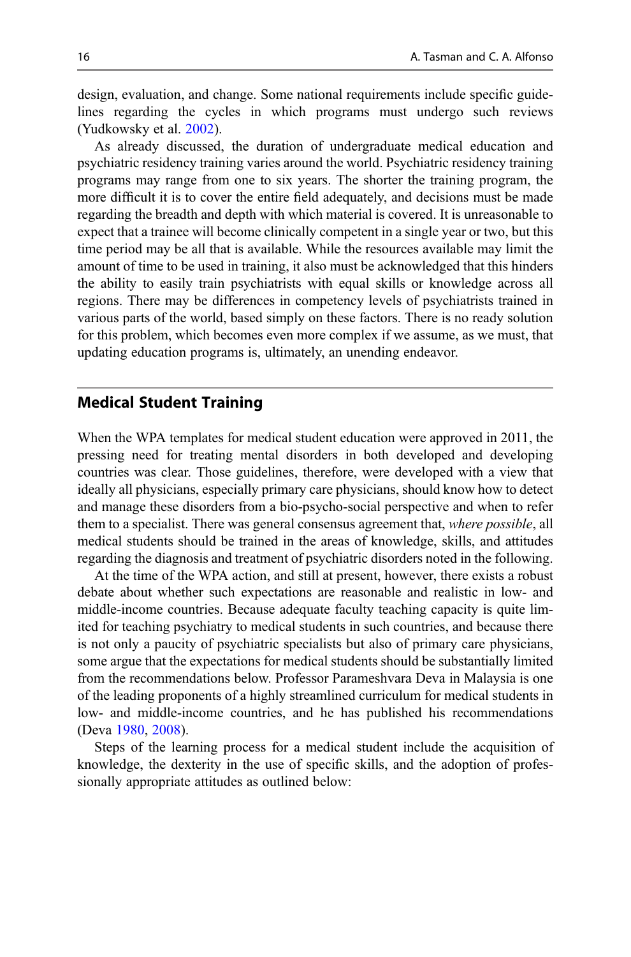design, evaluation, and change. Some national requirements include specific guidelines regarding the cycles in which programs must undergo such reviews (Yudkowsky et al. [2002](#page-32-0)).

As already discussed, the duration of undergraduate medical education and psychiatric residency training varies around the world. Psychiatric residency training programs may range from one to six years. The shorter the training program, the more difficult it is to cover the entire field adequately, and decisions must be made regarding the breadth and depth with which material is covered. It is unreasonable to expect that a trainee will become clinically competent in a single year or two, but this time period may be all that is available. While the resources available may limit the amount of time to be used in training, it also must be acknowledged that this hinders the ability to easily train psychiatrists with equal skills or knowledge across all regions. There may be differences in competency levels of psychiatrists trained in various parts of the world, based simply on these factors. There is no ready solution for this problem, which becomes even more complex if we assume, as we must, that updating education programs is, ultimately, an unending endeavor.

## Medical Student Training

When the WPA templates for medical student education were approved in 2011, the pressing need for treating mental disorders in both developed and developing countries was clear. Those guidelines, therefore, were developed with a view that ideally all physicians, especially primary care physicians, should know how to detect and manage these disorders from a bio-psycho-social perspective and when to refer them to a specialist. There was general consensus agreement that, where possible, all medical students should be trained in the areas of knowledge, skills, and attitudes regarding the diagnosis and treatment of psychiatric disorders noted in the following.

At the time of the WPA action, and still at present, however, there exists a robust debate about whether such expectations are reasonable and realistic in low- and middle-income countries. Because adequate faculty teaching capacity is quite limited for teaching psychiatry to medical students in such countries, and because there is not only a paucity of psychiatric specialists but also of primary care physicians, some argue that the expectations for medical students should be substantially limited from the recommendations below. Professor Parameshvara Deva in Malaysia is one of the leading proponents of a highly streamlined curriculum for medical students in low- and middle-income countries, and he has published his recommendations (Deva [1980,](#page-30-0) [2008\)](#page-30-0).

Steps of the learning process for a medical student include the acquisition of knowledge, the dexterity in the use of specific skills, and the adoption of professionally appropriate attitudes as outlined below: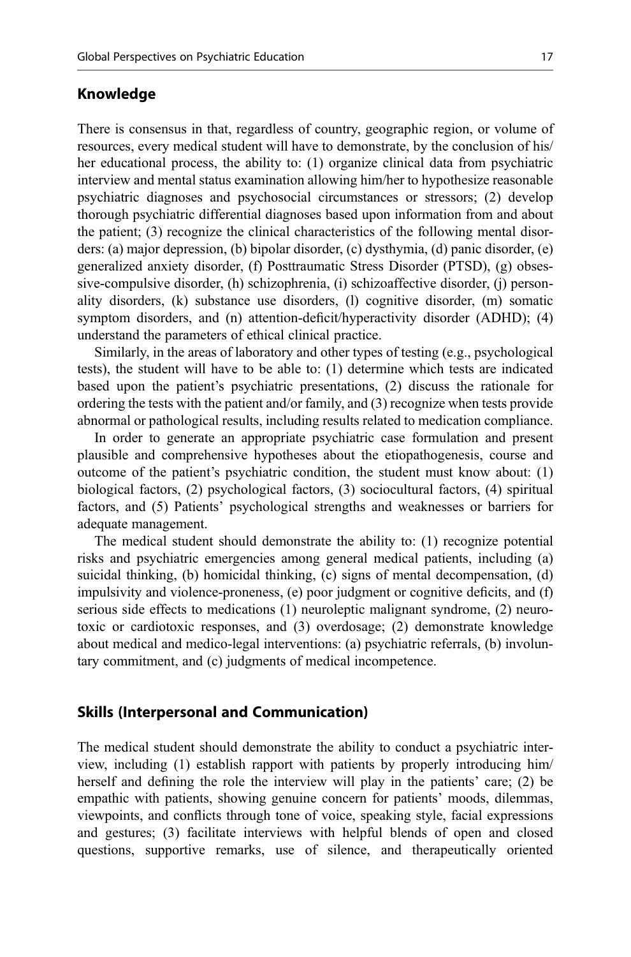#### Knowledge

There is consensus in that, regardless of country, geographic region, or volume of resources, every medical student will have to demonstrate, by the conclusion of his/ her educational process, the ability to: (1) organize clinical data from psychiatric interview and mental status examination allowing him/her to hypothesize reasonable psychiatric diagnoses and psychosocial circumstances or stressors; (2) develop thorough psychiatric differential diagnoses based upon information from and about the patient; (3) recognize the clinical characteristics of the following mental disorders: (a) major depression, (b) bipolar disorder, (c) dysthymia, (d) panic disorder, (e) generalized anxiety disorder, (f) Posttraumatic Stress Disorder (PTSD), (g) obsessive-compulsive disorder, (h) schizophrenia, (i) schizoaffective disorder, (j) personality disorders, (k) substance use disorders, (l) cognitive disorder, (m) somatic symptom disorders, and (n) attention-deficit/hyperactivity disorder (ADHD); (4) understand the parameters of ethical clinical practice.

Similarly, in the areas of laboratory and other types of testing (e.g., psychological tests), the student will have to be able to: (1) determine which tests are indicated based upon the patient's psychiatric presentations, (2) discuss the rationale for ordering the tests with the patient and/or family, and (3) recognize when tests provide abnormal or pathological results, including results related to medication compliance.

In order to generate an appropriate psychiatric case formulation and present plausible and comprehensive hypotheses about the etiopathogenesis, course and outcome of the patient's psychiatric condition, the student must know about: (1) biological factors, (2) psychological factors, (3) sociocultural factors, (4) spiritual factors, and (5) Patients' psychological strengths and weaknesses or barriers for adequate management.

The medical student should demonstrate the ability to: (1) recognize potential risks and psychiatric emergencies among general medical patients, including (a) suicidal thinking, (b) homicidal thinking, (c) signs of mental decompensation, (d) impulsivity and violence-proneness, (e) poor judgment or cognitive deficits, and (f) serious side effects to medications (1) neuroleptic malignant syndrome, (2) neurotoxic or cardiotoxic responses, and (3) overdosage; (2) demonstrate knowledge about medical and medico-legal interventions: (a) psychiatric referrals, (b) involuntary commitment, and (c) judgments of medical incompetence.

#### Skills (Interpersonal and Communication)

The medical student should demonstrate the ability to conduct a psychiatric interview, including (1) establish rapport with patients by properly introducing him/ herself and defining the role the interview will play in the patients' care; (2) be empathic with patients, showing genuine concern for patients' moods, dilemmas, viewpoints, and conflicts through tone of voice, speaking style, facial expressions and gestures; (3) facilitate interviews with helpful blends of open and closed questions, supportive remarks, use of silence, and therapeutically oriented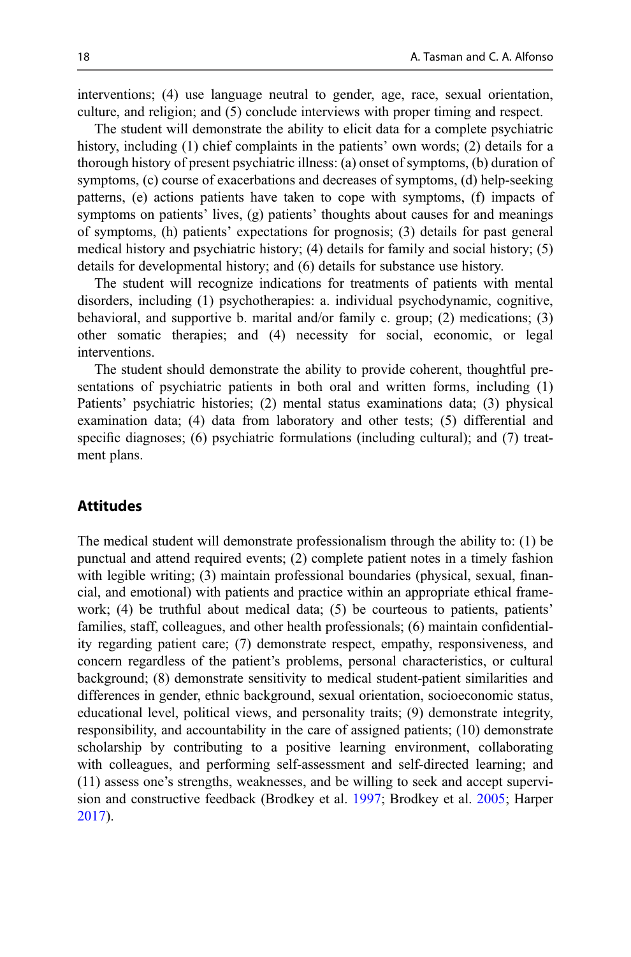interventions; (4) use language neutral to gender, age, race, sexual orientation, culture, and religion; and (5) conclude interviews with proper timing and respect.

The student will demonstrate the ability to elicit data for a complete psychiatric history, including (1) chief complaints in the patients' own words; (2) details for a thorough history of present psychiatric illness: (a) onset of symptoms, (b) duration of symptoms, (c) course of exacerbations and decreases of symptoms, (d) help-seeking patterns, (e) actions patients have taken to cope with symptoms, (f) impacts of symptoms on patients' lives, (g) patients' thoughts about causes for and meanings of symptoms, (h) patients' expectations for prognosis; (3) details for past general medical history and psychiatric history; (4) details for family and social history; (5) details for developmental history; and (6) details for substance use history.

The student will recognize indications for treatments of patients with mental disorders, including (1) psychotherapies: a. individual psychodynamic, cognitive, behavioral, and supportive b. marital and/or family c. group; (2) medications; (3) other somatic therapies; and (4) necessity for social, economic, or legal interventions.

The student should demonstrate the ability to provide coherent, thoughtful presentations of psychiatric patients in both oral and written forms, including (1) Patients' psychiatric histories; (2) mental status examinations data; (3) physical examination data; (4) data from laboratory and other tests; (5) differential and specific diagnoses; (6) psychiatric formulations (including cultural); and (7) treatment plans.

## Attitudes

The medical student will demonstrate professionalism through the ability to: (1) be punctual and attend required events; (2) complete patient notes in a timely fashion with legible writing; (3) maintain professional boundaries (physical, sexual, financial, and emotional) with patients and practice within an appropriate ethical framework; (4) be truthful about medical data; (5) be courteous to patients, patients' families, staff, colleagues, and other health professionals; (6) maintain confidentiality regarding patient care; (7) demonstrate respect, empathy, responsiveness, and concern regardless of the patient's problems, personal characteristics, or cultural background; (8) demonstrate sensitivity to medical student-patient similarities and differences in gender, ethnic background, sexual orientation, socioeconomic status, educational level, political views, and personality traits; (9) demonstrate integrity, responsibility, and accountability in the care of assigned patients; (10) demonstrate scholarship by contributing to a positive learning environment, collaborating with colleagues, and performing self-assessment and self-directed learning; and (11) assess one's strengths, weaknesses, and be willing to seek and accept supervision and constructive feedback (Brodkey et al. [1997;](#page-30-0) Brodkey et al. [2005](#page-30-0); Harper [2017\)](#page-31-0).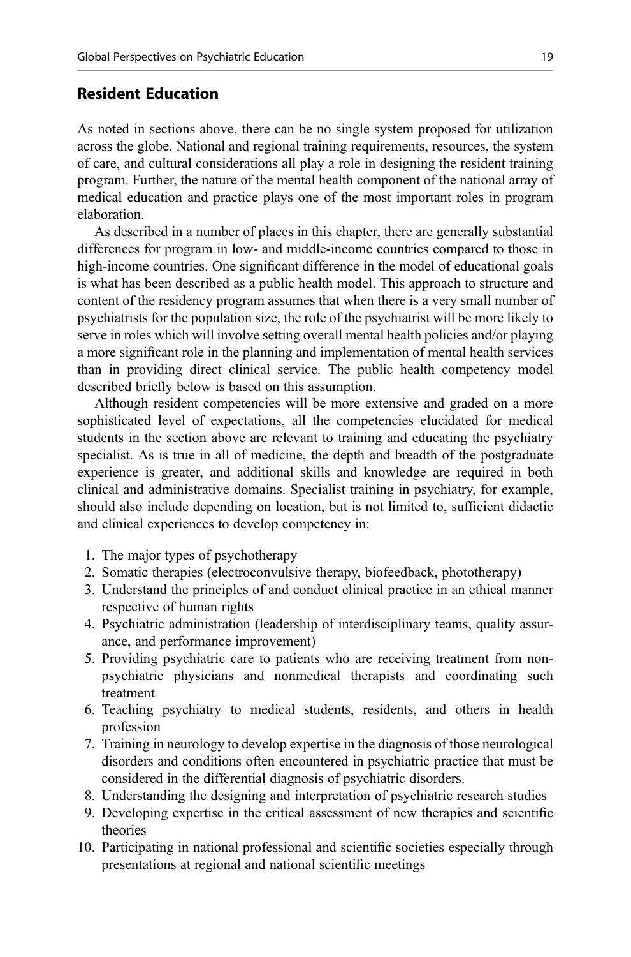## Resident Education

As noted in sections above, there can be no single system proposed for utilization across the globe. National and regional training requirements, resources, the system of care, and cultural considerations all play a role in designing the resident training program. Further, the nature of the mental health component of the national array of medical education and practice plays one of the most important roles in program elaboration.

As described in a number of places in this chapter, there are generally substantial differences for program in low- and middle-income countries compared to those in high-income countries. One significant difference in the model of educational goals is what has been described as a public health model. This approach to structure and content of the residency program assumes that when there is a very small number of psychiatrists for the population size, the role of the psychiatrist will be more likely to serve in roles which will involve setting overall mental health policies and/or playing a more significant role in the planning and implementation of mental health services than in providing direct clinical service. The public health competency model described briefly below is based on this assumption.

Although resident competencies will be more extensive and graded on a more sophisticated level of expectations, all the competencies elucidated for medical students in the section above are relevant to training and educating the psychiatry specialist. As is true in all of medicine, the depth and breadth of the postgraduate experience is greater, and additional skills and knowledge are required in both clinical and administrative domains. Specialist training in psychiatry, for example, should also include depending on location, but is not limited to, sufficient didactic and clinical experiences to develop competency in:

- 1. The major types of psychotherapy
- 2. Somatic therapies (electroconvulsive therapy, biofeedback, phototherapy)
- 3. Understand the principles of and conduct clinical practice in an ethical manner respective of human rights
- 4. Psychiatric administration (leadership of interdisciplinary teams, quality assurance, and performance improvement)
- 5. Providing psychiatric care to patients who are receiving treatment from nonpsychiatric physicians and nonmedical therapists and coordinating such treatment
- 6. Teaching psychiatry to medical students, residents, and others in health profession
- 7. Training in neurology to develop expertise in the diagnosis of those neurological disorders and conditions often encountered in psychiatric practice that must be considered in the differential diagnosis of psychiatric disorders.
- 8. Understanding the designing and interpretation of psychiatric research studies
- 9. Developing expertise in the critical assessment of new therapies and scientific theories
- 10. Participating in national professional and scientific societies especially through presentations at regional and national scientific meetings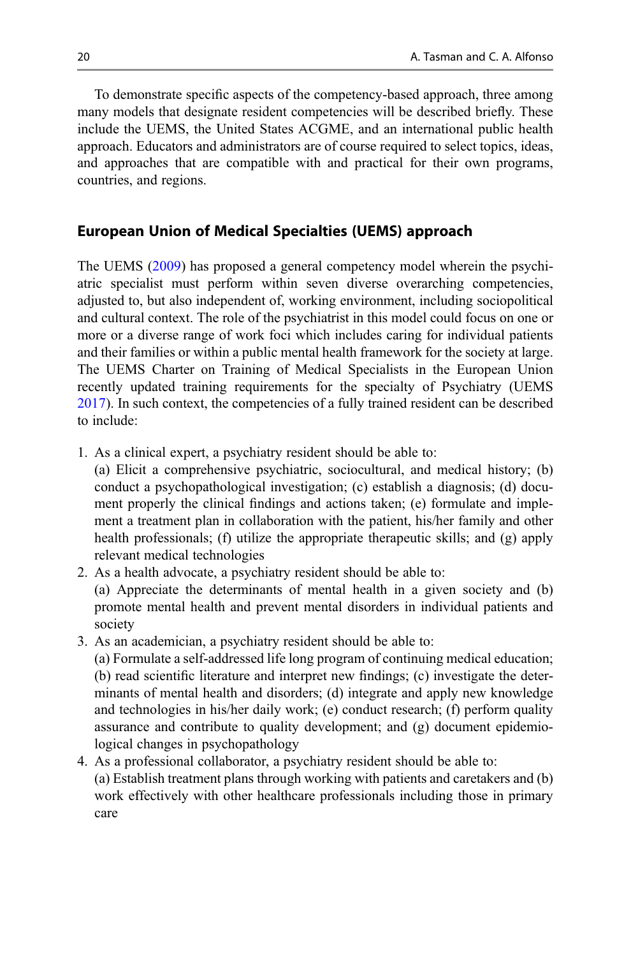To demonstrate specific aspects of the competency-based approach, three among many models that designate resident competencies will be described briefly. These include the UEMS, the United States ACGME, and an international public health approach. Educators and administrators are of course required to select topics, ideas, and approaches that are compatible with and practical for their own programs, countries, and regions.

#### European Union of Medical Specialties (UEMS) approach

The UEMS [\(2009](#page-30-0)) has proposed a general competency model wherein the psychiatric specialist must perform within seven diverse overarching competencies, adjusted to, but also independent of, working environment, including sociopolitical and cultural context. The role of the psychiatrist in this model could focus on one or more or a diverse range of work foci which includes caring for individual patients and their families or within a public mental health framework for the society at large. The UEMS Charter on Training of Medical Specialists in the European Union recently updated training requirements for the specialty of Psychiatry (UEMS [2017\)](#page-30-0). In such context, the competencies of a fully trained resident can be described to include:

1. As a clinical expert, a psychiatry resident should be able to:

(a) Elicit a comprehensive psychiatric, sociocultural, and medical history; (b) conduct a psychopathological investigation; (c) establish a diagnosis; (d) document properly the clinical findings and actions taken; (e) formulate and implement a treatment plan in collaboration with the patient, his/her family and other health professionals; (f) utilize the appropriate therapeutic skills; and (g) apply relevant medical technologies

2. As a health advocate, a psychiatry resident should be able to:

(a) Appreciate the determinants of mental health in a given society and (b) promote mental health and prevent mental disorders in individual patients and society

3. As an academician, a psychiatry resident should be able to:

(a) Formulate a self-addressed life long program of continuing medical education; (b) read scientific literature and interpret new findings; (c) investigate the determinants of mental health and disorders; (d) integrate and apply new knowledge and technologies in his/her daily work; (e) conduct research; (f) perform quality assurance and contribute to quality development; and (g) document epidemiological changes in psychopathology

4. As a professional collaborator, a psychiatry resident should be able to: (a) Establish treatment plans through working with patients and caretakers and (b) work effectively with other healthcare professionals including those in primary care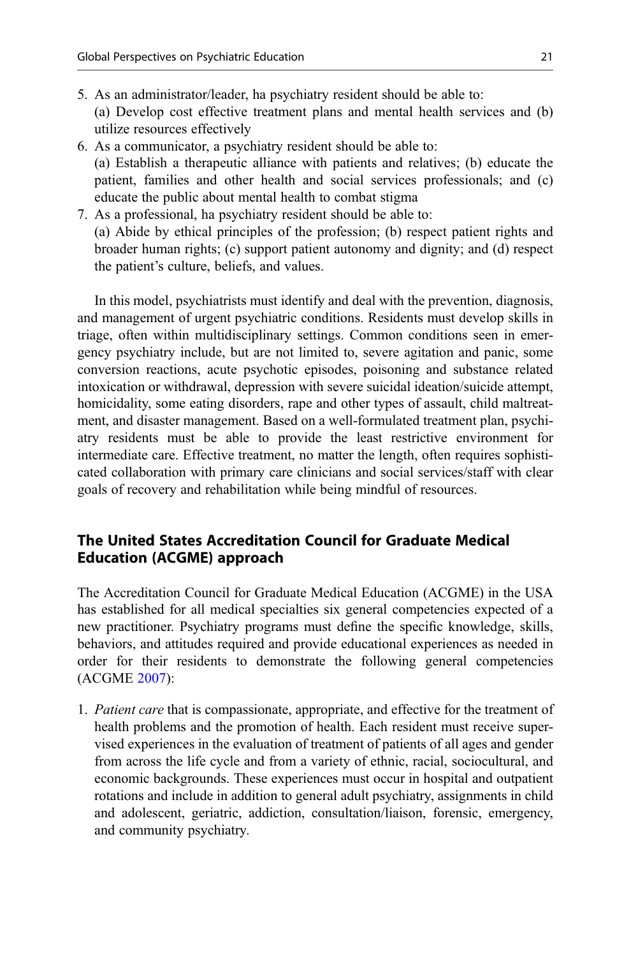- 5. As an administrator/leader, ha psychiatry resident should be able to: (a) Develop cost effective treatment plans and mental health services and (b) utilize resources effectively
- 6. As a communicator, a psychiatry resident should be able to: (a) Establish a therapeutic alliance with patients and relatives; (b) educate the patient, families and other health and social services professionals; and (c) educate the public about mental health to combat stigma
- 7. As a professional, ha psychiatry resident should be able to: (a) Abide by ethical principles of the profession; (b) respect patient rights and broader human rights; (c) support patient autonomy and dignity; and (d) respect the patient's culture, beliefs, and values.

In this model, psychiatrists must identify and deal with the prevention, diagnosis, and management of urgent psychiatric conditions. Residents must develop skills in triage, often within multidisciplinary settings. Common conditions seen in emergency psychiatry include, but are not limited to, severe agitation and panic, some conversion reactions, acute psychotic episodes, poisoning and substance related intoxication or withdrawal, depression with severe suicidal ideation/suicide attempt, homicidality, some eating disorders, rape and other types of assault, child maltreatment, and disaster management. Based on a well-formulated treatment plan, psychiatry residents must be able to provide the least restrictive environment for intermediate care. Effective treatment, no matter the length, often requires sophisticated collaboration with primary care clinicians and social services/staff with clear goals of recovery and rehabilitation while being mindful of resources.

## The United States Accreditation Council for Graduate Medical Education (ACGME) approach

The Accreditation Council for Graduate Medical Education (ACGME) in the USA has established for all medical specialties six general competencies expected of a new practitioner. Psychiatry programs must define the specific knowledge, skills, behaviors, and attitudes required and provide educational experiences as needed in order for their residents to demonstrate the following general competencies (ACGME [2007\)](#page-29-0):

1. Patient care that is compassionate, appropriate, and effective for the treatment of health problems and the promotion of health. Each resident must receive supervised experiences in the evaluation of treatment of patients of all ages and gender from across the life cycle and from a variety of ethnic, racial, sociocultural, and economic backgrounds. These experiences must occur in hospital and outpatient rotations and include in addition to general adult psychiatry, assignments in child and adolescent, geriatric, addiction, consultation/liaison, forensic, emergency, and community psychiatry.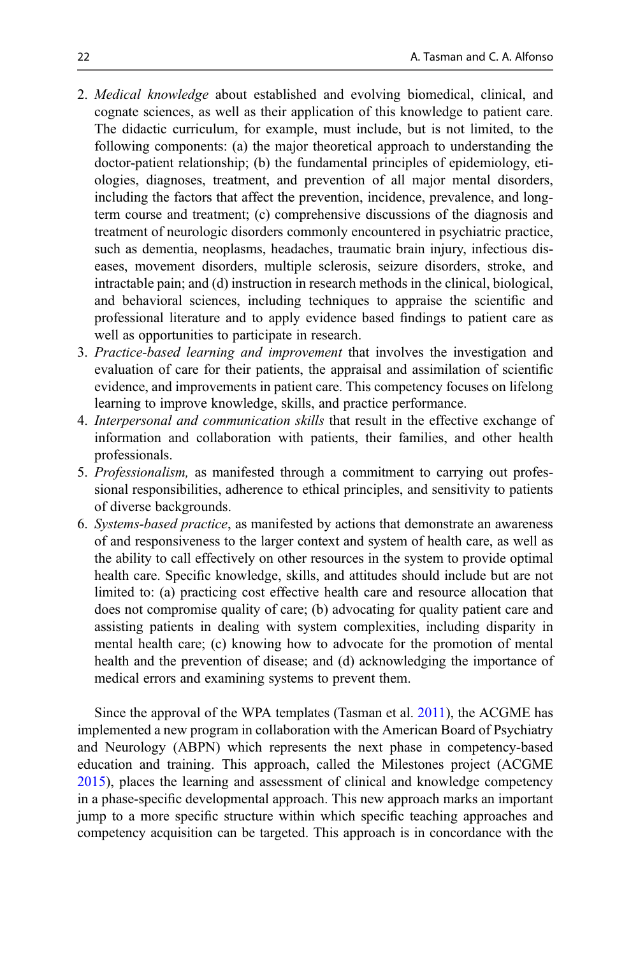- 2. Medical knowledge about established and evolving biomedical, clinical, and cognate sciences, as well as their application of this knowledge to patient care. The didactic curriculum, for example, must include, but is not limited, to the following components: (a) the major theoretical approach to understanding the doctor-patient relationship; (b) the fundamental principles of epidemiology, etiologies, diagnoses, treatment, and prevention of all major mental disorders, including the factors that affect the prevention, incidence, prevalence, and longterm course and treatment; (c) comprehensive discussions of the diagnosis and treatment of neurologic disorders commonly encountered in psychiatric practice, such as dementia, neoplasms, headaches, traumatic brain injury, infectious diseases, movement disorders, multiple sclerosis, seizure disorders, stroke, and intractable pain; and (d) instruction in research methods in the clinical, biological, and behavioral sciences, including techniques to appraise the scientific and professional literature and to apply evidence based findings to patient care as well as opportunities to participate in research.
- 3. Practice-based learning and improvement that involves the investigation and evaluation of care for their patients, the appraisal and assimilation of scientific evidence, and improvements in patient care. This competency focuses on lifelong learning to improve knowledge, skills, and practice performance.
- 4. Interpersonal and communication skills that result in the effective exchange of information and collaboration with patients, their families, and other health professionals.
- 5. Professionalism, as manifested through a commitment to carrying out professional responsibilities, adherence to ethical principles, and sensitivity to patients of diverse backgrounds.
- 6. Systems-based practice, as manifested by actions that demonstrate an awareness of and responsiveness to the larger context and system of health care, as well as the ability to call effectively on other resources in the system to provide optimal health care. Specific knowledge, skills, and attitudes should include but are not limited to: (a) practicing cost effective health care and resource allocation that does not compromise quality of care; (b) advocating for quality patient care and assisting patients in dealing with system complexities, including disparity in mental health care; (c) knowing how to advocate for the promotion of mental health and the prevention of disease; and (d) acknowledging the importance of medical errors and examining systems to prevent them.

Since the approval of the WPA templates (Tasman et al. [2011\)](#page-32-0), the ACGME has implemented a new program in collaboration with the American Board of Psychiatry and Neurology (ABPN) which represents the next phase in competency-based education and training. This approach, called the Milestones project (ACGME [2015\)](#page-29-0), places the learning and assessment of clinical and knowledge competency in a phase-specific developmental approach. This new approach marks an important jump to a more specific structure within which specific teaching approaches and competency acquisition can be targeted. This approach is in concordance with the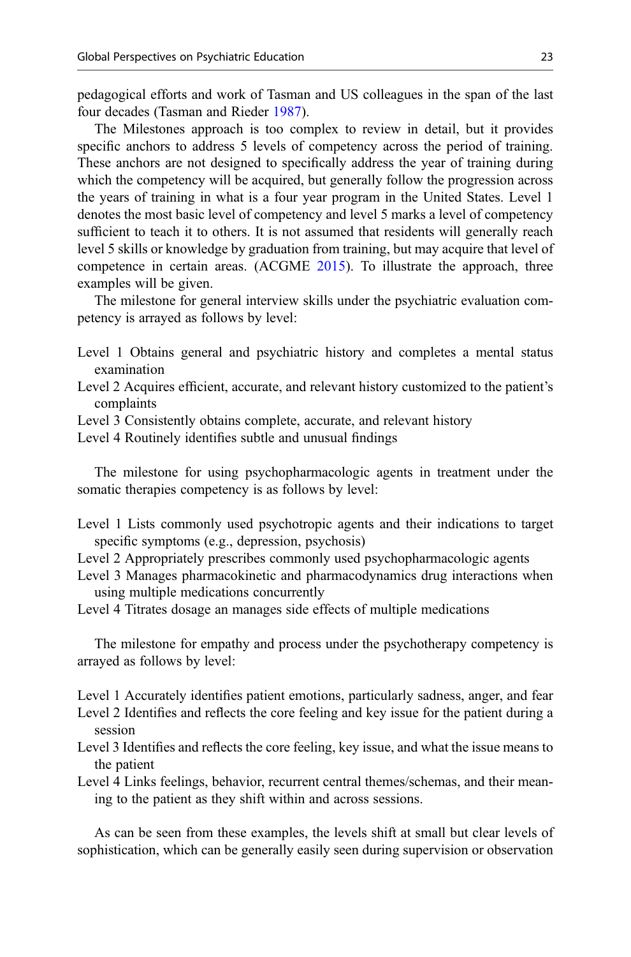pedagogical efforts and work of Tasman and US colleagues in the span of the last four decades (Tasman and Rieder [1987](#page-32-0)).

The Milestones approach is too complex to review in detail, but it provides specific anchors to address 5 levels of competency across the period of training. These anchors are not designed to specifically address the year of training during which the competency will be acquired, but generally follow the progression across the years of training in what is a four year program in the United States. Level 1 denotes the most basic level of competency and level 5 marks a level of competency sufficient to teach it to others. It is not assumed that residents will generally reach level 5 skills or knowledge by graduation from training, but may acquire that level of competence in certain areas. (ACGME [2015\)](#page-29-0). To illustrate the approach, three examples will be given.

The milestone for general interview skills under the psychiatric evaluation competency is arrayed as follows by level:

- Level 1 Obtains general and psychiatric history and completes a mental status examination
- Level 2 Acquires efficient, accurate, and relevant history customized to the patient's complaints
- Level 3 Consistently obtains complete, accurate, and relevant history
- Level 4 Routinely identifies subtle and unusual findings

The milestone for using psychopharmacologic agents in treatment under the somatic therapies competency is as follows by level:

- Level 1 Lists commonly used psychotropic agents and their indications to target specific symptoms (e.g., depression, psychosis)
- Level 2 Appropriately prescribes commonly used psychopharmacologic agents
- Level 3 Manages pharmacokinetic and pharmacodynamics drug interactions when using multiple medications concurrently
- Level 4 Titrates dosage an manages side effects of multiple medications

The milestone for empathy and process under the psychotherapy competency is arrayed as follows by level:

Level 1 Accurately identifies patient emotions, particularly sadness, anger, and fear

- Level 2 Identifies and reflects the core feeling and key issue for the patient during a session
- Level 3 Identifies and reflects the core feeling, key issue, and what the issue means to the patient
- Level 4 Links feelings, behavior, recurrent central themes/schemas, and their meaning to the patient as they shift within and across sessions.

As can be seen from these examples, the levels shift at small but clear levels of sophistication, which can be generally easily seen during supervision or observation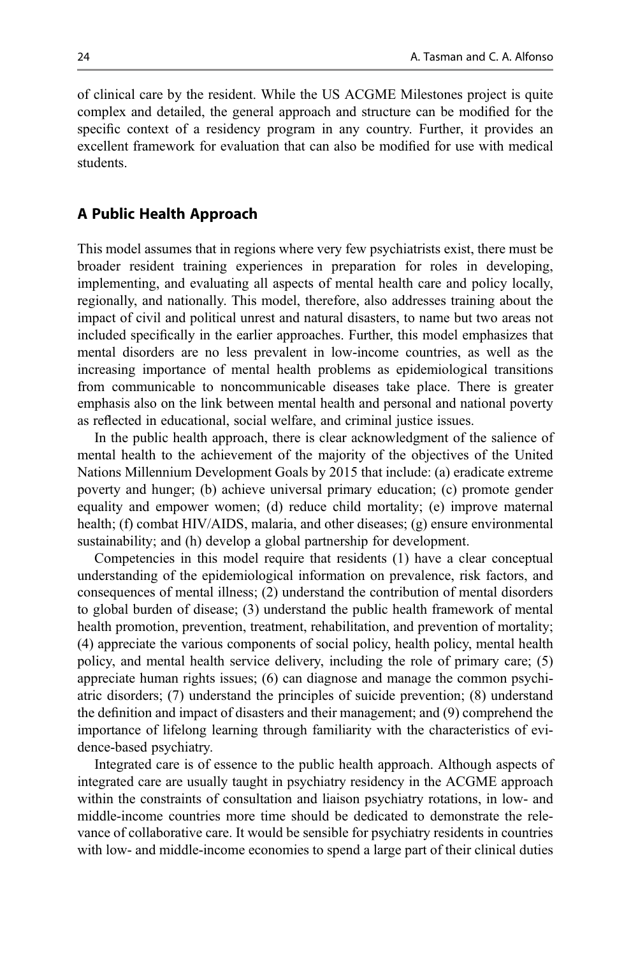of clinical care by the resident. While the US ACGME Milestones project is quite complex and detailed, the general approach and structure can be modified for the specific context of a residency program in any country. Further, it provides an excellent framework for evaluation that can also be modified for use with medical students.

#### A Public Health Approach

This model assumes that in regions where very few psychiatrists exist, there must be broader resident training experiences in preparation for roles in developing, implementing, and evaluating all aspects of mental health care and policy locally, regionally, and nationally. This model, therefore, also addresses training about the impact of civil and political unrest and natural disasters, to name but two areas not included specifically in the earlier approaches. Further, this model emphasizes that mental disorders are no less prevalent in low-income countries, as well as the increasing importance of mental health problems as epidemiological transitions from communicable to noncommunicable diseases take place. There is greater emphasis also on the link between mental health and personal and national poverty as reflected in educational, social welfare, and criminal justice issues.

In the public health approach, there is clear acknowledgment of the salience of mental health to the achievement of the majority of the objectives of the United Nations Millennium Development Goals by 2015 that include: (a) eradicate extreme poverty and hunger; (b) achieve universal primary education; (c) promote gender equality and empower women; (d) reduce child mortality; (e) improve maternal health; (f) combat HIV/AIDS, malaria, and other diseases; (g) ensure environmental sustainability; and (h) develop a global partnership for development.

Competencies in this model require that residents (1) have a clear conceptual understanding of the epidemiological information on prevalence, risk factors, and consequences of mental illness; (2) understand the contribution of mental disorders to global burden of disease; (3) understand the public health framework of mental health promotion, prevention, treatment, rehabilitation, and prevention of mortality; (4) appreciate the various components of social policy, health policy, mental health policy, and mental health service delivery, including the role of primary care; (5) appreciate human rights issues; (6) can diagnose and manage the common psychiatric disorders; (7) understand the principles of suicide prevention; (8) understand the definition and impact of disasters and their management; and (9) comprehend the importance of lifelong learning through familiarity with the characteristics of evidence-based psychiatry.

Integrated care is of essence to the public health approach. Although aspects of integrated care are usually taught in psychiatry residency in the ACGME approach within the constraints of consultation and liaison psychiatry rotations, in low- and middle-income countries more time should be dedicated to demonstrate the relevance of collaborative care. It would be sensible for psychiatry residents in countries with low- and middle-income economies to spend a large part of their clinical duties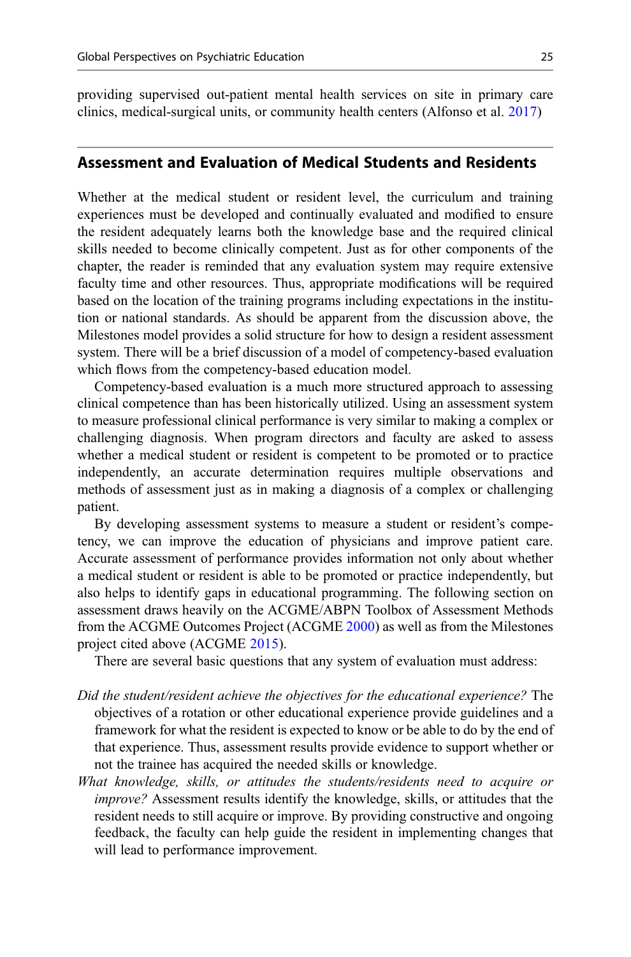providing supervised out-patient mental health services on site in primary care clinics, medical-surgical units, or community health centers (Alfonso et al. [2017](#page-29-0))

#### Assessment and Evaluation of Medical Students and Residents

Whether at the medical student or resident level, the curriculum and training experiences must be developed and continually evaluated and modified to ensure the resident adequately learns both the knowledge base and the required clinical skills needed to become clinically competent. Just as for other components of the chapter, the reader is reminded that any evaluation system may require extensive faculty time and other resources. Thus, appropriate modifications will be required based on the location of the training programs including expectations in the institution or national standards. As should be apparent from the discussion above, the Milestones model provides a solid structure for how to design a resident assessment system. There will be a brief discussion of a model of competency-based evaluation which flows from the competency-based education model.

Competency-based evaluation is a much more structured approach to assessing clinical competence than has been historically utilized. Using an assessment system to measure professional clinical performance is very similar to making a complex or challenging diagnosis. When program directors and faculty are asked to assess whether a medical student or resident is competent to be promoted or to practice independently, an accurate determination requires multiple observations and methods of assessment just as in making a diagnosis of a complex or challenging patient.

By developing assessment systems to measure a student or resident's competency, we can improve the education of physicians and improve patient care. Accurate assessment of performance provides information not only about whether a medical student or resident is able to be promoted or practice independently, but also helps to identify gaps in educational programming. The following section on assessment draws heavily on the ACGME/ABPN Toolbox of Assessment Methods from the ACGME Outcomes Project (ACGME [2000](#page-29-0)) as well as from the Milestones project cited above (ACGME [2015](#page-29-0)).

There are several basic questions that any system of evaluation must address:

- Did the student/resident achieve the objectives for the educational experience? The objectives of a rotation or other educational experience provide guidelines and a framework for what the resident is expected to know or be able to do by the end of that experience. Thus, assessment results provide evidence to support whether or not the trainee has acquired the needed skills or knowledge.
- What knowledge, skills, or attitudes the students/residents need to acquire or improve? Assessment results identify the knowledge, skills, or attitudes that the resident needs to still acquire or improve. By providing constructive and ongoing feedback, the faculty can help guide the resident in implementing changes that will lead to performance improvement.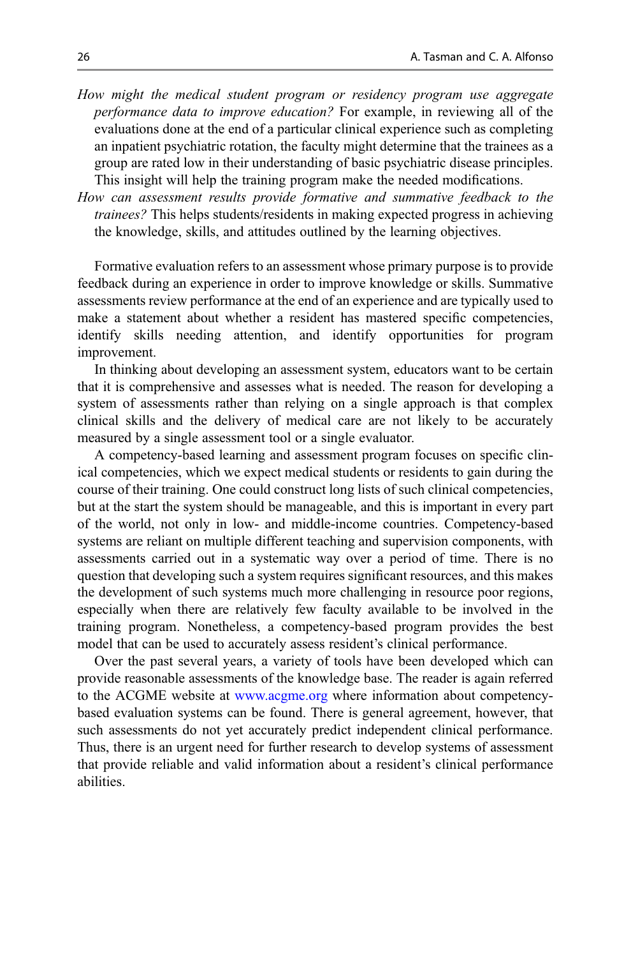- How might the medical student program or residency program use aggregate performance data to improve education? For example, in reviewing all of the evaluations done at the end of a particular clinical experience such as completing an inpatient psychiatric rotation, the faculty might determine that the trainees as a group are rated low in their understanding of basic psychiatric disease principles. This insight will help the training program make the needed modifications.
- How can assessment results provide formative and summative feedback to the trainees? This helps students/residents in making expected progress in achieving the knowledge, skills, and attitudes outlined by the learning objectives.

Formative evaluation refers to an assessment whose primary purpose is to provide feedback during an experience in order to improve knowledge or skills. Summative assessments review performance at the end of an experience and are typically used to make a statement about whether a resident has mastered specific competencies, identify skills needing attention, and identify opportunities for program improvement.

In thinking about developing an assessment system, educators want to be certain that it is comprehensive and assesses what is needed. The reason for developing a system of assessments rather than relying on a single approach is that complex clinical skills and the delivery of medical care are not likely to be accurately measured by a single assessment tool or a single evaluator.

A competency-based learning and assessment program focuses on specific clinical competencies, which we expect medical students or residents to gain during the course of their training. One could construct long lists of such clinical competencies, but at the start the system should be manageable, and this is important in every part of the world, not only in low- and middle-income countries. Competency-based systems are reliant on multiple different teaching and supervision components, with assessments carried out in a systematic way over a period of time. There is no question that developing such a system requires significant resources, and this makes the development of such systems much more challenging in resource poor regions, especially when there are relatively few faculty available to be involved in the training program. Nonetheless, a competency-based program provides the best model that can be used to accurately assess resident's clinical performance.

Over the past several years, a variety of tools have been developed which can provide reasonable assessments of the knowledge base. The reader is again referred to the ACGME website at [www.acgme.org](http://www.acgme.org) where information about competencybased evaluation systems can be found. There is general agreement, however, that such assessments do not yet accurately predict independent clinical performance. Thus, there is an urgent need for further research to develop systems of assessment that provide reliable and valid information about a resident's clinical performance abilities.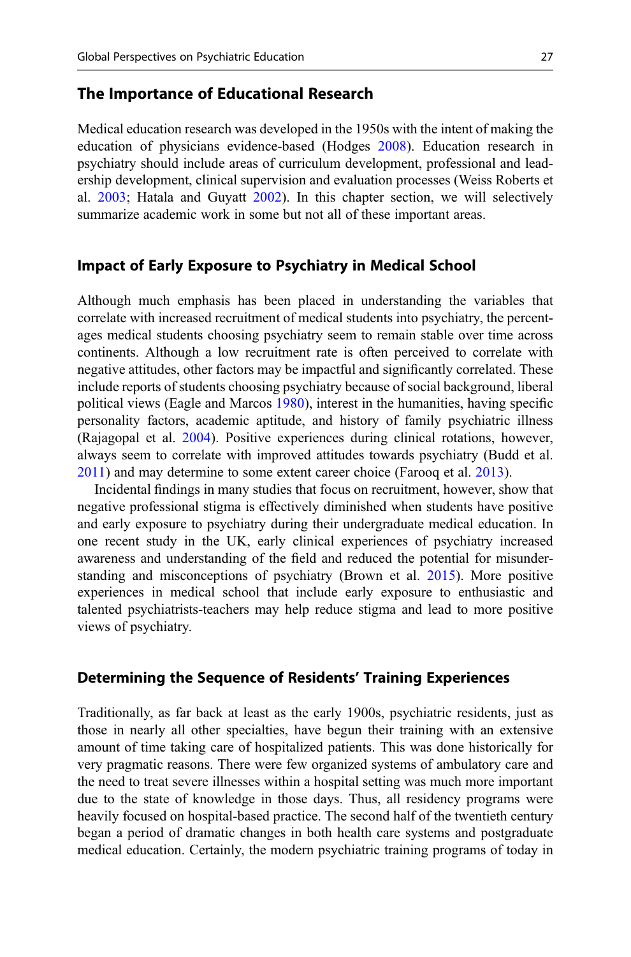#### The Importance of Educational Research

Medical education research was developed in the 1950s with the intent of making the education of physicians evidence-based (Hodges [2008](#page-31-0)). Education research in psychiatry should include areas of curriculum development, professional and leadership development, clinical supervision and evaluation processes (Weiss Roberts et al. [2003](#page-32-0); Hatala and Guyatt [2002](#page-31-0)). In this chapter section, we will selectively summarize academic work in some but not all of these important areas.

#### Impact of Early Exposure to Psychiatry in Medical School

Although much emphasis has been placed in understanding the variables that correlate with increased recruitment of medical students into psychiatry, the percentages medical students choosing psychiatry seem to remain stable over time across continents. Although a low recruitment rate is often perceived to correlate with negative attitudes, other factors may be impactful and significantly correlated. These include reports of students choosing psychiatry because of social background, liberal political views (Eagle and Marcos [1980](#page-30-0)), interest in the humanities, having specific personality factors, academic aptitude, and history of family psychiatric illness (Rajagopal et al. [2004\)](#page-32-0). Positive experiences during clinical rotations, however, always seem to correlate with improved attitudes towards psychiatry (Budd et al. [2011\)](#page-30-0) and may determine to some extent career choice (Farooq et al. [2013](#page-31-0)).

Incidental findings in many studies that focus on recruitment, however, show that negative professional stigma is effectively diminished when students have positive and early exposure to psychiatry during their undergraduate medical education. In one recent study in the UK, early clinical experiences of psychiatry increased awareness and understanding of the field and reduced the potential for misunderstanding and misconceptions of psychiatry (Brown et al. [2015\)](#page-30-0). More positive experiences in medical school that include early exposure to enthusiastic and talented psychiatrists-teachers may help reduce stigma and lead to more positive views of psychiatry.

#### Determining the Sequence of Residents' Training Experiences

Traditionally, as far back at least as the early 1900s, psychiatric residents, just as those in nearly all other specialties, have begun their training with an extensive amount of time taking care of hospitalized patients. This was done historically for very pragmatic reasons. There were few organized systems of ambulatory care and the need to treat severe illnesses within a hospital setting was much more important due to the state of knowledge in those days. Thus, all residency programs were heavily focused on hospital-based practice. The second half of the twentieth century began a period of dramatic changes in both health care systems and postgraduate medical education. Certainly, the modern psychiatric training programs of today in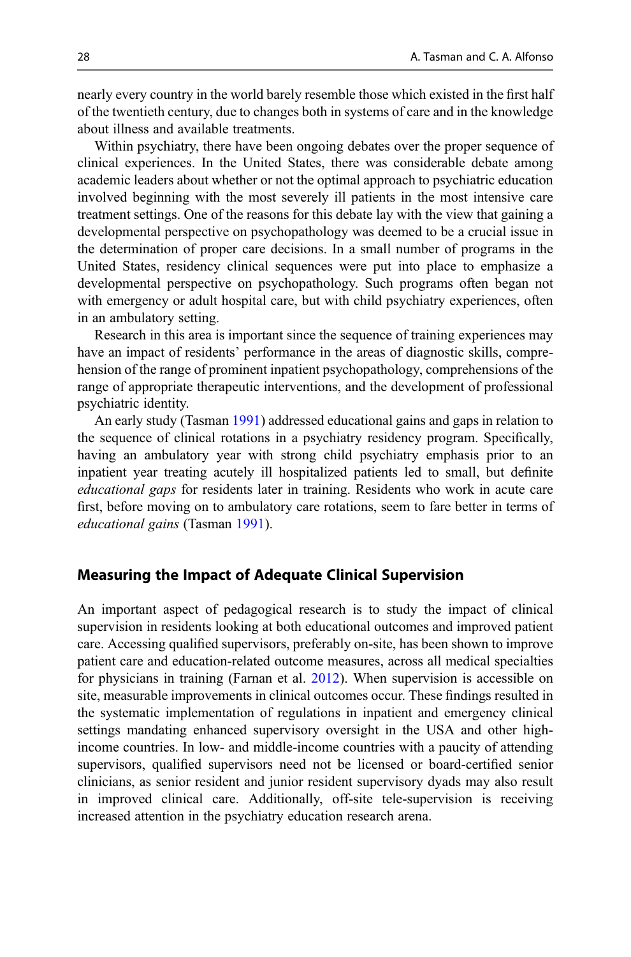nearly every country in the world barely resemble those which existed in the first half of the twentieth century, due to changes both in systems of care and in the knowledge about illness and available treatments.

Within psychiatry, there have been ongoing debates over the proper sequence of clinical experiences. In the United States, there was considerable debate among academic leaders about whether or not the optimal approach to psychiatric education involved beginning with the most severely ill patients in the most intensive care treatment settings. One of the reasons for this debate lay with the view that gaining a developmental perspective on psychopathology was deemed to be a crucial issue in the determination of proper care decisions. In a small number of programs in the United States, residency clinical sequences were put into place to emphasize a developmental perspective on psychopathology. Such programs often began not with emergency or adult hospital care, but with child psychiatry experiences, often in an ambulatory setting.

Research in this area is important since the sequence of training experiences may have an impact of residents' performance in the areas of diagnostic skills, comprehension of the range of prominent inpatient psychopathology, comprehensions of the range of appropriate therapeutic interventions, and the development of professional psychiatric identity.

An early study (Tasman [1991\)](#page-32-0) addressed educational gains and gaps in relation to the sequence of clinical rotations in a psychiatry residency program. Specifically, having an ambulatory year with strong child psychiatry emphasis prior to an inpatient year treating acutely ill hospitalized patients led to small, but definite educational gaps for residents later in training. Residents who work in acute care first, before moving on to ambulatory care rotations, seem to fare better in terms of educational gains (Tasman [1991](#page-32-0)).

#### Measuring the Impact of Adequate Clinical Supervision

An important aspect of pedagogical research is to study the impact of clinical supervision in residents looking at both educational outcomes and improved patient care. Accessing qualified supervisors, preferably on-site, has been shown to improve patient care and education-related outcome measures, across all medical specialties for physicians in training (Farnan et al. [2012\)](#page-31-0). When supervision is accessible on site, measurable improvements in clinical outcomes occur. These findings resulted in the systematic implementation of regulations in inpatient and emergency clinical settings mandating enhanced supervisory oversight in the USA and other highincome countries. In low- and middle-income countries with a paucity of attending supervisors, qualified supervisors need not be licensed or board-certified senior clinicians, as senior resident and junior resident supervisory dyads may also result in improved clinical care. Additionally, off-site tele-supervision is receiving increased attention in the psychiatry education research arena.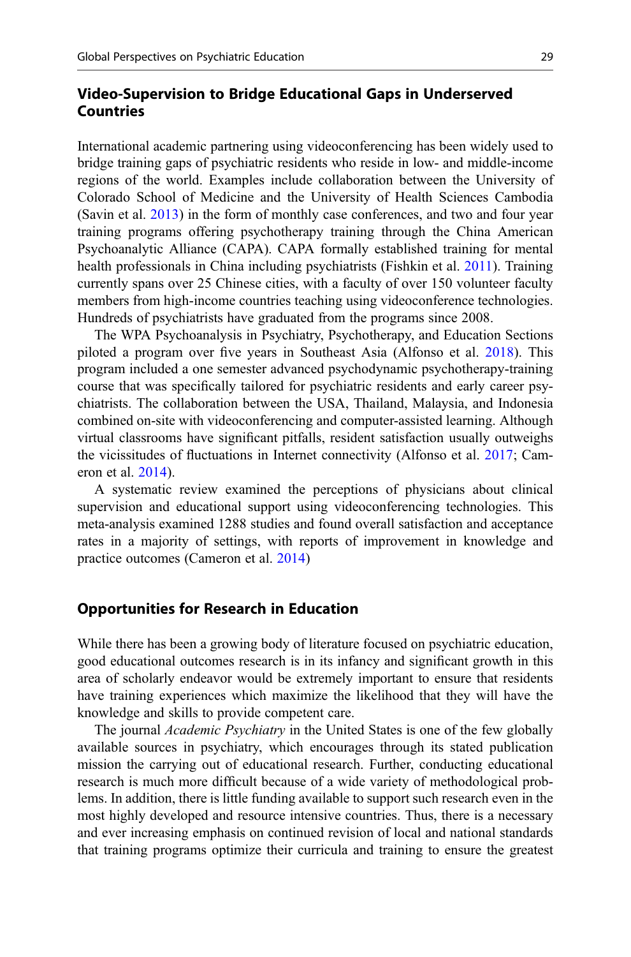## Video-Supervision to Bridge Educational Gaps in Underserved Countries

International academic partnering using videoconferencing has been widely used to bridge training gaps of psychiatric residents who reside in low- and middle-income regions of the world. Examples include collaboration between the University of Colorado School of Medicine and the University of Health Sciences Cambodia (Savin et al. [2013\)](#page-32-0) in the form of monthly case conferences, and two and four year training programs offering psychotherapy training through the China American Psychoanalytic Alliance (CAPA). CAPA formally established training for mental health professionals in China including psychiatrists (Fishkin et al. [2011](#page-31-0)). Training currently spans over 25 Chinese cities, with a faculty of over 150 volunteer faculty members from high-income countries teaching using videoconference technologies. Hundreds of psychiatrists have graduated from the programs since 2008.

The WPA Psychoanalysis in Psychiatry, Psychotherapy, and Education Sections piloted a program over five years in Southeast Asia (Alfonso et al. [2018](#page-29-0)). This program included a one semester advanced psychodynamic psychotherapy-training course that was specifically tailored for psychiatric residents and early career psychiatrists. The collaboration between the USA, Thailand, Malaysia, and Indonesia combined on-site with videoconferencing and computer-assisted learning. Although virtual classrooms have significant pitfalls, resident satisfaction usually outweighs the vicissitudes of fluctuations in Internet connectivity (Alfonso et al. [2017;](#page-29-0) Cameron et al. [2014](#page-30-0)).

A systematic review examined the perceptions of physicians about clinical supervision and educational support using videoconferencing technologies. This meta-analysis examined 1288 studies and found overall satisfaction and acceptance rates in a majority of settings, with reports of improvement in knowledge and practice outcomes (Cameron et al. [2014\)](#page-30-0)

#### Opportunities for Research in Education

While there has been a growing body of literature focused on psychiatric education, good educational outcomes research is in its infancy and significant growth in this area of scholarly endeavor would be extremely important to ensure that residents have training experiences which maximize the likelihood that they will have the knowledge and skills to provide competent care.

The journal *Academic Psychiatry* in the United States is one of the few globally available sources in psychiatry, which encourages through its stated publication mission the carrying out of educational research. Further, conducting educational research is much more difficult because of a wide variety of methodological problems. In addition, there is little funding available to support such research even in the most highly developed and resource intensive countries. Thus, there is a necessary and ever increasing emphasis on continued revision of local and national standards that training programs optimize their curricula and training to ensure the greatest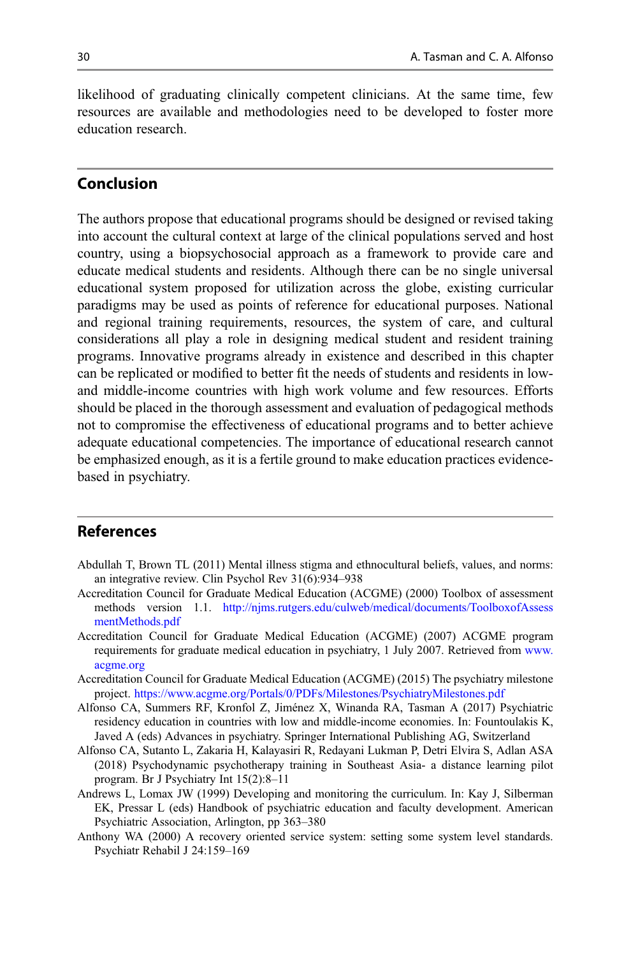<span id="page-29-0"></span>likelihood of graduating clinically competent clinicians. At the same time, few resources are available and methodologies need to be developed to foster more education research.

## Conclusion

The authors propose that educational programs should be designed or revised taking into account the cultural context at large of the clinical populations served and host country, using a biopsychosocial approach as a framework to provide care and educate medical students and residents. Although there can be no single universal educational system proposed for utilization across the globe, existing curricular paradigms may be used as points of reference for educational purposes. National and regional training requirements, resources, the system of care, and cultural considerations all play a role in designing medical student and resident training programs. Innovative programs already in existence and described in this chapter can be replicated or modified to better fit the needs of students and residents in lowand middle-income countries with high work volume and few resources. Efforts should be placed in the thorough assessment and evaluation of pedagogical methods not to compromise the effectiveness of educational programs and to better achieve adequate educational competencies. The importance of educational research cannot be emphasized enough, as it is a fertile ground to make education practices evidencebased in psychiatry.

## References

- Abdullah T, Brown TL (2011) Mental illness stigma and ethnocultural beliefs, values, and norms: an integrative review. Clin Psychol Rev 31(6):934–938
- Accreditation Council for Graduate Medical Education (ACGME) (2000) Toolbox of assessment methods version 1.1. [http://njms.rutgers.edu/culweb/medical/documents/ToolboxofAssess](http://njms.rutgers.edu/culweb/medical/documents/ToolboxofAssessmentMethods.pdf) [mentMethods.pdf](http://njms.rutgers.edu/culweb/medical/documents/ToolboxofAssessmentMethods.pdf)
- Accreditation Council for Graduate Medical Education (ACGME) (2007) ACGME program requirements for graduate medical education in psychiatry, 1 July 2007. Retrieved from [www.](http://www.acgme.org) [acgme.org](http://www.acgme.org)
- Accreditation Council for Graduate Medical Education (ACGME) (2015) The psychiatry milestone project. <https://www.acgme.org/Portals/0/PDFs/Milestones/PsychiatryMilestones.pdf>
- Alfonso CA, Summers RF, Kronfol Z, Jiménez X, Winanda RA, Tasman A (2017) Psychiatric residency education in countries with low and middle-income economies. In: Fountoulakis K, Javed A (eds) Advances in psychiatry. Springer International Publishing AG, Switzerland
- Alfonso CA, Sutanto L, Zakaria H, Kalayasiri R, Redayani Lukman P, Detri Elvira S, Adlan ASA (2018) Psychodynamic psychotherapy training in Southeast Asia- a distance learning pilot program. Br J Psychiatry Int 15(2):8–11
- Andrews L, Lomax JW (1999) Developing and monitoring the curriculum. In: Kay J, Silberman EK, Pressar L (eds) Handbook of psychiatric education and faculty development. American Psychiatric Association, Arlington, pp 363–380
- Anthony WA (2000) A recovery oriented service system: setting some system level standards. Psychiatr Rehabil J 24:159–169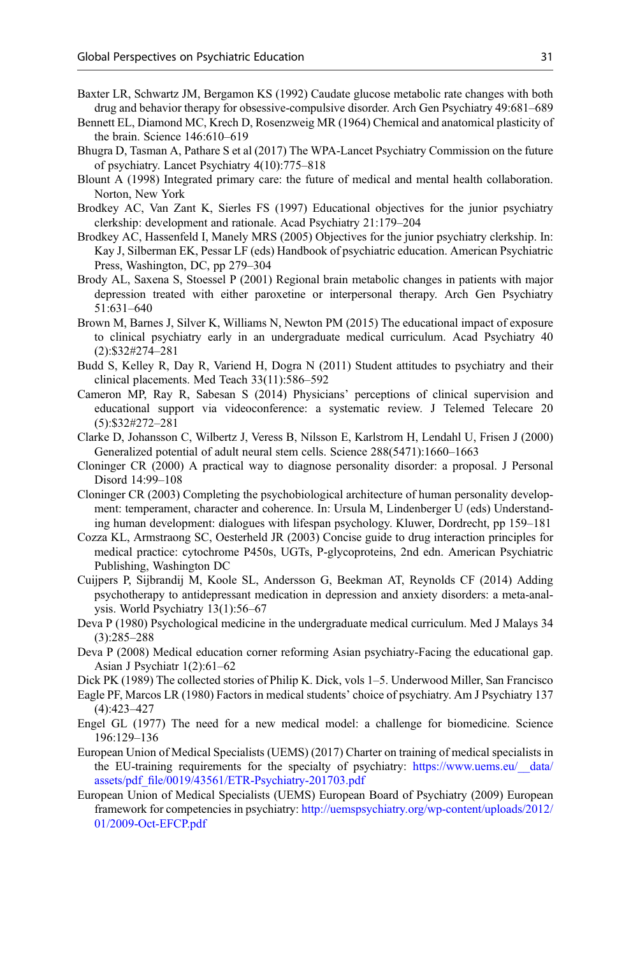- <span id="page-30-0"></span>Baxter LR, Schwartz JM, Bergamon KS (1992) Caudate glucose metabolic rate changes with both drug and behavior therapy for obsessive-compulsive disorder. Arch Gen Psychiatry 49:681–689
- Bennett EL, Diamond MC, Krech D, Rosenzweig MR (1964) Chemical and anatomical plasticity of the brain. Science 146:610–619
- Bhugra D, Tasman A, Pathare S et al (2017) The WPA-Lancet Psychiatry Commission on the future of psychiatry. Lancet Psychiatry 4(10):775–818
- Blount A (1998) Integrated primary care: the future of medical and mental health collaboration. Norton, New York
- Brodkey AC, Van Zant K, Sierles FS (1997) Educational objectives for the junior psychiatry clerkship: development and rationale. Acad Psychiatry 21:179–204
- Brodkey AC, Hassenfeld I, Manely MRS (2005) Objectives for the junior psychiatry clerkship. In: Kay J, Silberman EK, Pessar LF (eds) Handbook of psychiatric education. American Psychiatric Press, Washington, DC, pp 279–304
- Brody AL, Saxena S, Stoessel P (2001) Regional brain metabolic changes in patients with major depression treated with either paroxetine or interpersonal therapy. Arch Gen Psychiatry 51:631–640
- Brown M, Barnes J, Silver K, Williams N, Newton PM (2015) The educational impact of exposure to clinical psychiatry early in an undergraduate medical curriculum. Acad Psychiatry 40 (2):\$32#274–281
- Budd S, Kelley R, Day R, Variend H, Dogra N (2011) Student attitudes to psychiatry and their clinical placements. Med Teach 33(11):586–592
- Cameron MP, Ray R, Sabesan S (2014) Physicians' perceptions of clinical supervision and educational support via videoconference: a systematic review. J Telemed Telecare 20 (5):\$32#272–281
- Clarke D, Johansson C, Wilbertz J, Veress B, Nilsson E, Karlstrom H, Lendahl U, Frisen J (2000) Generalized potential of adult neural stem cells. Science 288(5471):1660–1663
- Cloninger CR (2000) A practical way to diagnose personality disorder: a proposal. J Personal Disord 14:99–108
- Cloninger CR (2003) Completing the psychobiological architecture of human personality development: temperament, character and coherence. In: Ursula M, Lindenberger U (eds) Understanding human development: dialogues with lifespan psychology. Kluwer, Dordrecht, pp 159–181
- Cozza KL, Armstraong SC, Oesterheld JR (2003) Concise guide to drug interaction principles for medical practice: cytochrome P450s, UGTs, P-glycoproteins, 2nd edn. American Psychiatric Publishing, Washington DC
- Cuijpers P, Sijbrandij M, Koole SL, Andersson G, Beekman AT, Reynolds CF (2014) Adding psychotherapy to antidepressant medication in depression and anxiety disorders: a meta-analysis. World Psychiatry 13(1):56–67
- Deva P (1980) Psychological medicine in the undergraduate medical curriculum. Med J Malays 34 (3):285–288
- Deva P (2008) Medical education corner reforming Asian psychiatry-Facing the educational gap. Asian J Psychiatr 1(2):61–62
- Dick PK (1989) The collected stories of Philip K. Dick, vols 1–5. Underwood Miller, San Francisco
- Eagle PF, Marcos LR (1980) Factors in medical students' choice of psychiatry. Am J Psychiatry 137 (4):423–427
- Engel GL (1977) The need for a new medical model: a challenge for biomedicine. Science 196:129–136
- European Union of Medical Specialists (UEMS) (2017) Charter on training of medical specialists in the EU-training requirements for the specialty of psychiatry: [https://www.uems.eu/\\_\\_data/](https://www.uems.eu/__data/assets/pdf_file/0019/43561/ETR-Psychiatry-201703.pdf) assets/pdf\_fi[le/0019/43561/ETR-Psychiatry-201703.pdf](https://www.uems.eu/__data/assets/pdf_file/0019/43561/ETR-Psychiatry-201703.pdf)
- European Union of Medical Specialists (UEMS) European Board of Psychiatry (2009) European framework for competencies in psychiatry: [http://uemspsychiatry.org/wp-content/uploads/2012/](http://uemspsychiatry.org/wp-content/uploads/2012/01/2009-Oct-EFCP.pdf) [01/2009-Oct-EFCP.pdf](http://uemspsychiatry.org/wp-content/uploads/2012/01/2009-Oct-EFCP.pdf)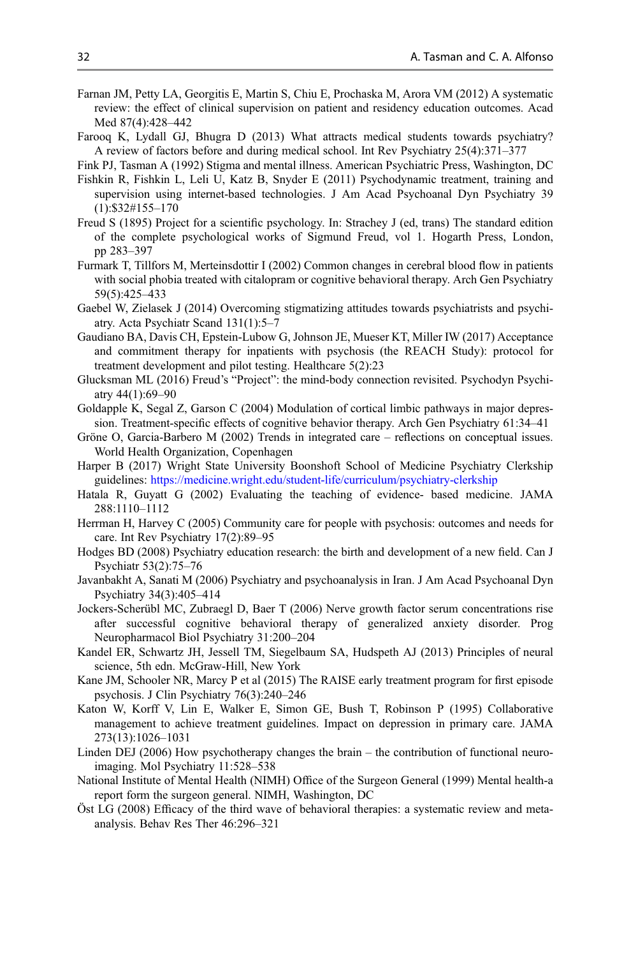- <span id="page-31-0"></span>Farnan JM, Petty LA, Georgitis E, Martin S, Chiu E, Prochaska M, Arora VM (2012) A systematic review: the effect of clinical supervision on patient and residency education outcomes. Acad Med 87(4):428–442
- Farooq K, Lydall GJ, Bhugra D (2013) What attracts medical students towards psychiatry? A review of factors before and during medical school. Int Rev Psychiatry 25(4):371–377
- Fink PJ, Tasman A (1992) Stigma and mental illness. American Psychiatric Press, Washington, DC
- Fishkin R, Fishkin L, Leli U, Katz B, Snyder E (2011) Psychodynamic treatment, training and supervision using internet-based technologies. J Am Acad Psychoanal Dyn Psychiatry 39 (1):\$32#155–170
- Freud S (1895) Project for a scientific psychology. In: Strachey J (ed, trans) The standard edition of the complete psychological works of Sigmund Freud, vol 1. Hogarth Press, London, pp 283–397
- Furmark T, Tillfors M, Merteinsdottir I (2002) Common changes in cerebral blood flow in patients with social phobia treated with citalopram or cognitive behavioral therapy. Arch Gen Psychiatry 59(5):425–433
- Gaebel W, Zielasek J (2014) Overcoming stigmatizing attitudes towards psychiatrists and psychiatry. Acta Psychiatr Scand 131(1):5–7
- Gaudiano BA, Davis CH, Epstein-Lubow G, Johnson JE, Mueser KT, Miller IW (2017) Acceptance and commitment therapy for inpatients with psychosis (the REACH Study): protocol for treatment development and pilot testing. Healthcare 5(2):23
- Glucksman ML (2016) Freud's "Project": the mind-body connection revisited. Psychodyn Psychiatry 44(1):69–90
- Goldapple K, Segal Z, Garson C (2004) Modulation of cortical limbic pathways in major depression. Treatment-specific effects of cognitive behavior therapy. Arch Gen Psychiatry 61:34–41
- Gröne O, Garcia-Barbero M (2002) Trends in integrated care reflections on conceptual issues. World Health Organization, Copenhagen
- Harper B (2017) Wright State University Boonshoft School of Medicine Psychiatry Clerkship guidelines: <https://medicine.wright.edu/student-life/curriculum/psychiatry-clerkship>
- Hatala R, Guyatt G (2002) Evaluating the teaching of evidence- based medicine. JAMA 288:1110–1112
- Herrman H, Harvey C (2005) Community care for people with psychosis: outcomes and needs for care. Int Rev Psychiatry 17(2):89–95
- Hodges BD (2008) Psychiatry education research: the birth and development of a new field. Can J Psychiatr 53(2):75–76
- Javanbakht A, Sanati M (2006) Psychiatry and psychoanalysis in Iran. J Am Acad Psychoanal Dyn Psychiatry 34(3):405–414
- Jockers-Scherübl MC, Zubraegl D, Baer T (2006) Nerve growth factor serum concentrations rise after successful cognitive behavioral therapy of generalized anxiety disorder. Prog Neuropharmacol Biol Psychiatry 31:200–204
- Kandel ER, Schwartz JH, Jessell TM, Siegelbaum SA, Hudspeth AJ (2013) Principles of neural science, 5th edn. McGraw-Hill, New York
- Kane JM, Schooler NR, Marcy P et al (2015) The RAISE early treatment program for first episode psychosis. J Clin Psychiatry 76(3):240–246
- Katon W, Korff V, Lin E, Walker E, Simon GE, Bush T, Robinson P (1995) Collaborative management to achieve treatment guidelines. Impact on depression in primary care. JAMA 273(13):1026–1031
- Linden DEJ (2006) How psychotherapy changes the brain the contribution of functional neuroimaging. Mol Psychiatry 11:528–538
- National Institute of Mental Health (NIMH) Office of the Surgeon General (1999) Mental health-a report form the surgeon general. NIMH, Washington, DC
- Öst LG (2008) Efficacy of the third wave of behavioral therapies: a systematic review and metaanalysis. Behav Res Ther 46:296–321